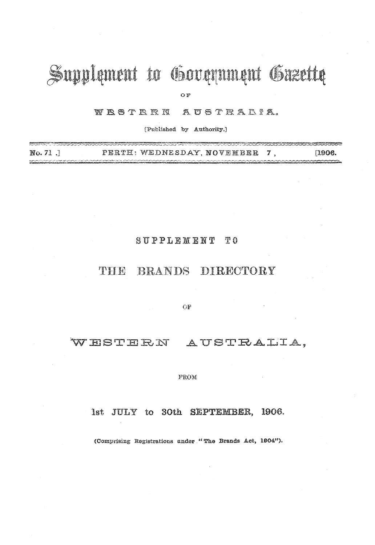# Supplement to Government Gazette

OF

WESTERN AUSTRALIA.

[Published by Authority.]

| No. 71. |  |  | PERTH: WEDNESDAY, NOVEMBER 7 |  | [1906] |
|---------|--|--|------------------------------|--|--------|
|         |  |  |                              |  |        |

#### $S$  U P P L E M E N T  $T<sub>0</sub>$

# THE BRANDS DIRECTORY

 $\mathrm{OF}$ 

WESTERN AUSTRALIA,

FROM

Ist JULY to 30th SEPTEMBER, 1906.

(Comprising Registrations under "The Brands Act, 1904").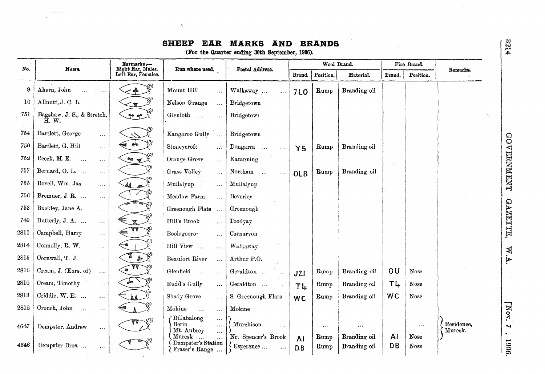## SHEEP EAR MARKS AND BRANDS

(For the Quarter ending 30th September, 1906).

| No.  | <b>NAME.</b>                                                       | Earmarks:-<br>Right Ear, Males.                 | Run where used.                                                                       | Postal Address.                                                  |            | Wool Brand.             |                              |                 | Fire Brand.                   | Remarks.              |
|------|--------------------------------------------------------------------|-------------------------------------------------|---------------------------------------------------------------------------------------|------------------------------------------------------------------|------------|-------------------------|------------------------------|-----------------|-------------------------------|-----------------------|
|      |                                                                    | Left Ear, Females.                              |                                                                                       |                                                                  | Brand.     | Position.               | Material.                    | Brand.          | Position.                     |                       |
| 9    | Ahern, John                                                        | 一命                                              | Mount Hill<br>$\ddotsc$                                                               | Walkaway<br>$\bar{\nu}$ .                                        | <b>7LO</b> | Rump                    | Branding oil                 |                 |                               |                       |
| 10   | Allnutt, J. C. L.<br>$\cdots$                                      | $\mathbf{\leq}$                                 | Nelson Grange<br>$\overline{\mathcal{L}}$                                             | Bridgetown                                                       |            |                         |                              |                 |                               |                       |
| 751  | Bagshaw, J. S., & Stretch,<br>$H.$ W.                              | $P^{\circ}$                                     | Glenloth<br>$\bar{\mathcal{L}}$ .<br>$\mathbf{r}$                                     | Bridgetowr                                                       |            |                         |                              |                 |                               |                       |
| 754  | Bartlett, George<br>$\cdots$                                       |                                                 | Kangaroo Gully<br>$\sim$                                                              | Bridgetown                                                       |            |                         |                              |                 |                               |                       |
| 750  | Bartlett, G. Hill<br>$\ldots$                                      | حلو                                             | Stoneycroft<br>$\mathcal{A}$                                                          | Dongarra<br>$\sim$ $\sim$                                        | Y5         | Rump                    | Branding oil                 |                 |                               |                       |
| 752  | Beeck, M. E.<br>$\ddotsc$<br>$\dots$                               | 900                                             | Orange Grove<br>$\ddotsc$                                                             | Katanning                                                        |            |                         |                              |                 |                               |                       |
| 757  | Bernard, O. L.<br>i vit                                            |                                                 | Grass Valley<br>$\ddotsc$                                                             | Northam<br>$\ddotsc$                                             | <b>OLB</b> | Rump                    | Branding oil                 |                 |                               |                       |
| 755  | Bovell, Wm. Jas.<br>$\epsilon$ . $\epsilon$                        | 4A p                                            | Mullalyup<br>$\overline{\mathcal{L}}$ .                                               | Mullalyup                                                        |            |                         |                              |                 |                               |                       |
| 756  | Bremner, J. R.<br>$\cdots$                                         |                                                 | Meadow Farm<br>$\dddotsc$                                                             | Beverley                                                         |            |                         |                              |                 |                               |                       |
| 753  | Buckley, Jane A.<br>$\cdots$                                       | $\frac{1}{\log\left(\frac{1}{\sqrt{2}}\right)}$ | Greenough Flats<br>$\ddotsc$                                                          | Greenough                                                        |            |                         |                              |                 |                               |                       |
| 749  | Butterly, J. A.<br>$\ldots$                                        | $\mathbb{Z}$                                    | Hill's Brook<br>$\ddotsc$                                                             | Toodyay                                                          |            |                         |                              |                 |                               |                       |
| 2811 | Campbell, Harry<br>$\ldots$                                        | AA.                                             | Boologooro <sup>-</sup><br>$\ddotsc$                                                  | Carnarvon                                                        |            |                         |                              |                 |                               |                       |
| 2814 | Connolly, R. W.<br>$\cdots$                                        |                                                 | Hill View<br>$\ldots$                                                                 | Walkaway                                                         |            |                         |                              |                 |                               |                       |
| 2815 | Cornwall, T. J.<br>$\ddotsc$                                       | 鼎                                               | Beaufort River<br>$\ddotsc$                                                           | Arthur P.O.                                                      |            |                         |                              |                 |                               |                       |
| 2816 | Cream, J. (Exrs. of)<br>$\ldots$                                   |                                                 | Glenfield<br>$\sim$<br>$\ddotsc$                                                      | Geraldton                                                        | JZI        | Rump                    | Branding oil                 | 0U              | Nose                          |                       |
| 2810 | Cream, Timothy<br>$\cdots$                                         | $\delta$                                        | Rudd's Gully<br>$\ddotsc$                                                             | Geraldton $\,\,\ldots\,\,$                                       | TL         | Rump                    | Branding oil                 | TĻ              | Nose                          |                       |
| 2813 | Criddle, W. E.<br>$\ldots$                                         | <b>AA</b>                                       | Shady Grove<br>$\ddotsc$                                                              | S. Greenough Flats                                               | <b>WC</b>  | Rump                    | Branding oil                 | <b>WC</b>       | Nose                          |                       |
| 2812 | Crouch, John<br>$\sim$ 100 $\mu$ m $^{-1}$<br>$\sim$ $\sim$ $\sim$ |                                                 | Mokine<br>$\dddotsc$<br>$\cdots$                                                      | Mokine                                                           |            |                         |                              |                 |                               |                       |
| 4647 | Dempster, Andrew<br>$\cdots$                                       |                                                 | Billabalong<br>$\cdots$<br>Berin<br>$\ddotsc$<br>$\ddotsc$<br>Mt. Aubrey<br>$\ddotsc$ | Murchison<br>$\overline{1}$                                      |            | $\sigma \propto \sigma$ | $\bullet$ $\bullet$ $\circ$  |                 | $\bullet$ $\bullet$ $\bullet$ | Residence,<br>Muresk. |
| 4646 | Dempster Bros<br>$\cdots$                                          |                                                 | Muresk<br>$\ddotsc$<br>Dempster's Station<br>Fraser's Range                           | Nr. Spencer's Brook<br>Esperance $\dots$<br>$\hat{\theta}$ is as | AI<br>D.B  | Rump<br>Rump            | Branding oil<br>Branding oil | ΑI<br><b>DB</b> | Nose<br>Nose                  |                       |

2214

W.A.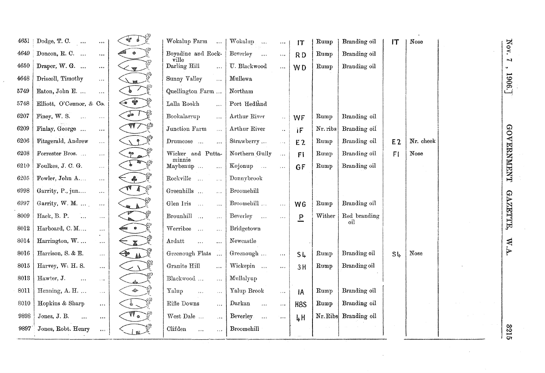| 4651 | Dodge, T. C.<br>0.00<br>500                         |                                | Wokalup Farm<br>$\overline{\phantom{a}}$     | Wokalup<br>$\mathbf{v}$                 | $\circ$ $\circ$ $\circ$         | IT               | Rump     | Branding oil        | IT             | Nose      |  |                                 |
|------|-----------------------------------------------------|--------------------------------|----------------------------------------------|-----------------------------------------|---------------------------------|------------------|----------|---------------------|----------------|-----------|--|---------------------------------|
| 4649 | Doncon, R. C.<br>$\circ$ o o                        |                                | Boyadine and Rock-                           | Beverley<br>$\sim$                      | 5.2.6                           | RD               | Rump     | Branding oil        |                |           |  | Nov.                            |
| 4650 | Draper, W. G.<br>$\bullet$ . $\bullet$              | $\mathbf{w}$                   | ville<br>Darling Hill<br>$\cdots$            | U. Blackwood                            | $\ddot{\delta}$ as              | W <sub>D</sub>   | Rump     | Branding oil        |                |           |  | $\sim$<br>$\tilde{\phantom{a}}$ |
| 4648 | Driscoll, Timothy<br>i vi                           |                                | Sunny Valley<br>$\dddotsc$                   | Mullewa                                 |                                 |                  |          |                     |                |           |  | 1906                            |
| 5749 | Eaton, John E.<br>$\ldots$                          |                                | Quellington Farm                             | Northam                                 |                                 |                  |          |                     |                |           |  |                                 |
| 5748 | Elliott, O'Connor, & Co.                            | $\overline{\phantom{a}}$       | Lalla Rookh<br>$\mathbf{1}$                  | Port Hedland                            |                                 |                  |          |                     |                |           |  |                                 |
| 6207 | Finey, W. S.<br>$\sim$<br>$\ldots$                  | $\overline{\phantom{a}}$       | Bookalarrup<br>$\dddotsc$                    | Arthur River                            | $\sim$                          | WF               | Rump     | Branding oil        |                |           |  |                                 |
| 6209 | Finlay, George<br>$\ldots$                          | 99 Z                           | Junction Farm<br>$\frac{1}{2}$               | Arthur River                            | $\ddot{\phantom{a}}$            | IF               | Nr. ribs | Branding oil        |                |           |  |                                 |
| 6206 | Fitzgerald, Andrew<br>$\ldots$                      | $\lambda$ ?                    | Drumcose<br>$\ddotsc$                        | Strawberry                              | $\bar{\omega}$ , $\bar{\omega}$ | E <sub>2</sub>   | Rump     | Branding oil        | E <sub>2</sub> | Nr. cheek |  | <b>COVERMMENT</b>               |
| 6208 | Forrester Bros<br>$\bar{\mathbf{z}}$ is a           | $\overset{\circ}{\mathcal{L}}$ | Wicker and Putta-<br>minnie                  | Northern Gully                          | $\ldots$                        | F1               | Rump     | Branding oil        | F1             | Nose      |  |                                 |
| 6210 | Foulkes, J. C. G.<br>$\sim$ .                       |                                | Maybenup<br>$\bar{\omega}$ , $\bar{\omega}$  | Kojonup                                 | $\sim$ $\sim$                   | GF               | Rump     | Branding oil        |                |           |  |                                 |
| 6205 | Fowler, John A<br>$\ldots$                          | $\triangle$                    | Rockville<br>$\frac{1}{2}$                   | Donnybrook                              |                                 |                  |          |                     |                |           |  |                                 |
| 6998 | Garrity, P., jun<br>$\ldots$                        | $\sqrt{11}$                    | Greenhills<br>$\sim$ .                       | Broomehill                              |                                 |                  |          |                     |                |           |  |                                 |
| 6997 | Garrity, W. M.<br>$\ldots$                          |                                | Glen Iris<br>$\bar{\Delta}$                  | Broomehill                              | $\ldots$                        | <b>WG</b>        | Rump     | Branding oil        |                |           |  | <b>GAZIETIE</b>                 |
| 8009 | Hack, B. P.<br>$\sim$<br>$\ldots$                   |                                | Brounhill<br>$\overline{\phantom{a}}$        | Beverley<br>$\sim$                      | $\bar{a}$ and                   | P                | Wither   | Red branding<br>oil |                |           |  |                                 |
| 8012 | Harboard, C.M<br>$\ldots$                           | $\bullet$                      | Werribee<br>$\ddotsc$                        | Bridgetown                              |                                 |                  |          |                     |                |           |  |                                 |
| 8014 | Harrington, W.<br>$\ldots$                          | $\mathbb{X}$                   | Ardatt<br>$\cdots$<br>$\ddotsc$              | Newcastle                               |                                 |                  |          |                     |                |           |  | W.A.                            |
| 8016 | Harrison, S. & E.<br>$\ldots$                       | <u>aa</u>                      | Greenough Flats                              | Greenough                               | $\cdots$                        | SL               | Rump     | Branding oil        | $S\downarrow$  | Nose      |  |                                 |
| 8015 | Harvey, W. H. S.<br>$\ddotsc$                       | $\sim$ $\sqrt{ }$              | Granite Hill<br>$\ldots$                     | Wickepin                                | $\cdots$                        | 3H               | Rump     | Branding oil        |                |           |  |                                 |
| 8013 | Hawter, J.<br>$\dddotsc$<br>$\bar{\mathbf{v}}$ is a |                                | Blackwood<br>$\ddot{\phantom{a}}$            | Mullalyup                               |                                 |                  |          |                     |                |           |  |                                 |
| 8011 | Henning, A. H.<br>$\bar{\omega}$ .                  | $\mathcal{L}^{2n}$ .           | Yalup<br>$\overline{\mathbf{z}}$<br>$\ldots$ | Yalup Brook                             | $\ldots$                        | IA               | Rump     | Branding oil        |                |           |  |                                 |
| 8010 | Hopkins & Sharp<br>$\ldots$                         |                                | Rifle Downs<br>$\ddotsc$                     | Darkan<br>$\frac{1}{2}$                 | $\ldots$                        | H <sub>8</sub> S | Rump     | Branding oil        |                |           |  |                                 |
| 9898 | Jones, J. B.<br>$\ddotsc$<br>$\cdots$               | $\sqrt{\P}$                    | West Dale<br>$\frac{1}{2}$ , $\frac{1}{2}$   | Beverley.<br>$\Delta \Delta \hat{\phi}$ | $\ldots$                        | $L$ H            | Nr. Ribs | Branding oil        |                |           |  |                                 |
| 9897 | Jones, Robt. Henry<br>$\bullet\bullet\bullet$       |                                | Clifden<br>$\overline{a}$<br>$\sim$ $\sim$   | Broomehill                              |                                 |                  |          |                     |                |           |  | <b>S221</b>                     |
|      |                                                     |                                |                                              |                                         |                                 |                  |          |                     |                |           |  |                                 |

 $\sim$ 

 $\mathcal{L}^{\pm}$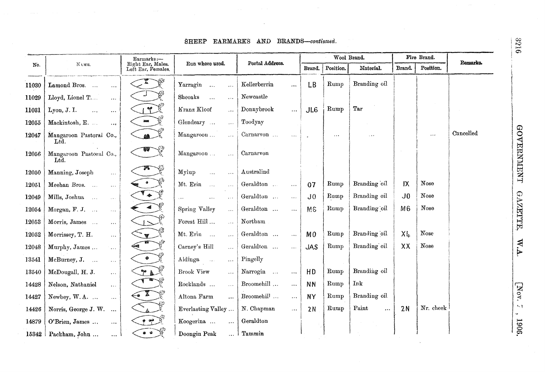#### SHEEP EARMARKS AND BRANDS-continued.

|       |                                                          | Earmarks:-                              |                                                       |                                    |                  |           | Wool Brand.        |                | Fire Brand. |           |
|-------|----------------------------------------------------------|-----------------------------------------|-------------------------------------------------------|------------------------------------|------------------|-----------|--------------------|----------------|-------------|-----------|
| No.   | NAME.                                                    | Right Ear, Males.<br>Left Ear, Females. | Run where used.                                       | Postal Address.                    | Brand.           | Position. | Material.          | Brand.         | Position.   | Remarks.  |
| 11030 | Lamond Bros.<br>$\ldots$                                 |                                         | Yarragin<br>$\frac{1}{2}$                             | Kellerberrin<br>500                | LB               | Rump      | Branding oil       |                |             |           |
| 11029 | Lloyd, Lionel T<br>$\cdots$                              |                                         | Sheoaks<br>$\cdots$<br>$\cdots$                       | Newcastle                          |                  |           |                    |                |             |           |
| 11031 | Lyon, J. I.<br>$\dddotsc$<br>$\cdots$                    | $\sum_{i=1}^{n}$                        | Kranz Kloof<br>$\cdots$                               | Donnybrook<br>$\cdots$             | J <sub>L</sub> 6 | Rump      | Tar                |                |             |           |
| 12055 | Mackintosh, E.<br>$\ldots$                               | <b>ENERGY</b>                           | Glendeary<br>$\ldots$                                 | Toodyay                            |                  |           |                    |                |             |           |
| 12047 | Mangaroon Pastoral Co.,<br>Ltd.                          |                                         | Mangaroon<br>$\ldots$                                 | Carnarvon<br>$\omega$ and          |                  | $\cdots$  | 18.4               |                | 500         | Cancelled |
| 12056 | Mangaroon Pastoral Co.,<br>$\operatorname{Ind.}$         |                                         | Mangaroon<br>$\cdots$                                 | Carnarvon                          |                  |           |                    |                |             |           |
| 12050 | Manning, Joseph<br>$\cdots$                              |                                         | Mylup<br>$\overline{\mathcal{L}}$<br>$\ldots$         | Australind                         |                  |           |                    |                |             |           |
| 12051 | Meehan Bros.<br>$\ldots$                                 |                                         | Mt. Erin<br>$\sim$                                    | Geraldton<br>$\ddotsc$             | 07               | Rump      | Branding oil       | IX             | Nose        |           |
| 12049 | Mills, Joshua<br>$\sim$<br>$\epsilon \rightarrow \infty$ | $\bullet$                               | .<br>$\cdots$                                         | Geraldton<br>$\ddotsc$             | J <sub>0</sub>   | Rump      | Branding oil       | J <sub>0</sub> | Nose        |           |
| 12054 | Morgan, F. J.<br>$\ldots$                                | $\blacktriangleleft$                    | Spring Valley<br>$\ldots$                             | Geraldton $\;\ldots\;$<br>$\ldots$ | M <sub>6</sub>   | Rump      | Branding oil       | M <sub>6</sub> | Nose        |           |
| 12053 | Morris, James<br>$\sim$ $\sim$                           | $\overline{1}$                          | Forest $\operatorname{Hill}$ $\ldots$<br>$\sqrt{2}$ . | Northam                            |                  |           |                    |                |             |           |
| 12052 | Morrissey, T. H.<br>$\ldots$                             | $\mathbf{v}$                            | Mt. Erin<br>$\cdots$                                  | Geraldton<br>$\sim$ $\sim$ $\sim$  | M <sub>0</sub>   | Rump      | Branding oil       | XL.            | Nose        |           |
| 12048 | Murphy, James<br>$\cdots$                                |                                         | Carney's Hill<br>$\cdots$                             | Geraldton<br>$\ddotsc$             | <b>JAS</b>       | Rump      | Branding oil       | XX             | Nose        |           |
| 13541 | McBurney, J.<br>$\sim 100$                               | $\bullet$                               | Aldinga<br>$\sim$ $\sim$<br>$\cdots$                  | Pingelly                           |                  |           |                    |                |             |           |
| 13540 | McDougall, H. J.<br>$\ldots$                             | $P \triangle \widetilde{E}$             | Brook View<br>$\cdots$                                | Narrogin<br>$\ddotsc$              | HD               | Rump      | Branding oil       |                |             |           |
| 14428 | Nelson, Nathaniel<br>$\sim$ .                            |                                         | Rocklands $\ldots$<br>$\cdots$                        | Broomehill $\ldots$<br>$\cdots$    | <b>NN</b>        | Rump      | Ink                |                |             |           |
| 14427 | Newbey, W.A.<br>$\ldots$                                 | $\sum_{i=1}^{n}$                        | Altona Farm<br>$\ddotsc$                              | Broomehil <sup>1</sup><br>$\ldots$ | <b>NY</b>        | Rump      | Branding oil       |                |             |           |
| 14426 | Norris, George J. W.<br>$\ddotsc$                        |                                         | Everlasting Valley                                    | N. Chapman<br>$\cdots$             | 2N               | Rump      | Paint<br>$\ddotsc$ | 2N             | Nr. cheek   |           |
| 14879 | O'Brien, James<br>$\ddotsc$                              | ھين                                     | Koogerina<br>$\ddotsc$                                | Geraldton                          |                  |           |                    |                |             |           |
|       | $15342$ Packham, John<br>$\sim 100$                      | $\bullet$ $\bullet$                     | Doongin Peak                                          | $\ldots$ Tammin                    |                  |           |                    |                |             |           |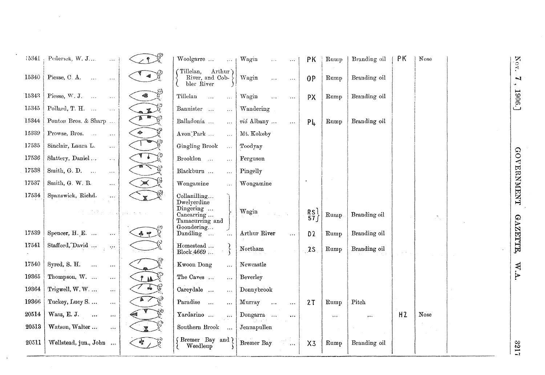| 15341 | Pederick, W. J<br>$\sim 10$                           |                             | Woolgarre<br>$\sim$ $\sim$ 1                                        | Wagin<br>$\ddotsc$<br>$\ldots$                                                                                                                                                                     | ΡK                                       | Rump                | Branding oil        | ΡK             | Nose                                                      |
|-------|-------------------------------------------------------|-----------------------------|---------------------------------------------------------------------|----------------------------------------------------------------------------------------------------------------------------------------------------------------------------------------------------|------------------------------------------|---------------------|---------------------|----------------|-----------------------------------------------------------|
| 15340 | Piesse, C. A.<br>$\sim 100$<br>$\ldots$               | $\sim 0.1$                  | Tillelan,<br>Arthur)<br>River, and Cob-<br>bler River               | Wagin<br>$\sim$ $\sim$ $\sim$<br>$\epsilon \rightarrow \infty$                                                                                                                                     | 0 <sup>p</sup>                           | Rump                | Branding oil        |                |                                                           |
| 15343 | Piesse, W. J.<br>$\sim$<br>$\ldots$                   | 48                          | Tillelan<br>$\sim$<br>$\ddotsc$                                     | Wagin<br>$\ldots$<br>$\ldots$                                                                                                                                                                      | PX                                       | Rump                | Branding oil        |                |                                                           |
| 15345 | Pollard, T. H.<br>$\ldots$                            | $\mathbf{z}$                | Bannister<br>$\ldots$                                               | Wandering                                                                                                                                                                                          |                                          |                     |                     |                |                                                           |
| 15344 | Ponton Bros. & Sharp                                  | YP.                         | Balladonia<br>$\ddotsc$                                             | viá Albany<br>$\ldots$                                                                                                                                                                             | PL                                       | Rump                | Branding oil        |                |                                                           |
| 15339 | Prowse, Bros.<br>$\ldots$                             | $\mathcal{L}^{\mathcal{D}}$ | Avon Park<br>$\ldots$                                               | Mt. Kokeby                                                                                                                                                                                         |                                          |                     |                     |                |                                                           |
| 17535 | Sinclair, Laura L.<br>$\ddotsc$                       | -92                         | Gingling Brook<br>$\bar{\Delta}$                                    | Toodyay                                                                                                                                                                                            |                                          |                     |                     |                |                                                           |
| 17536 | Slattery, Daniel<br>$\ldots$                          | $\sqrt{2}$                  | Brooklon<br>$\overline{\mathcal{L}}$                                | Ferguson                                                                                                                                                                                           |                                          |                     |                     |                |                                                           |
| 17538 | Smith, G. D. $\ldots$<br>$\cdots$                     |                             | Blackburn<br>$\overline{\mathcal{A}}$                               | Pingelly                                                                                                                                                                                           |                                          |                     |                     |                |                                                           |
| 17537 | Smith, G. W. B.<br>$\cdots$                           | ⋙                           | Wongamine<br>$\overline{\mathcal{L}}$ .                             | Wongamine                                                                                                                                                                                          |                                          |                     |                     |                |                                                           |
| 17534 | Spanswick, Richd.<br>$\cdots$                         | $\mathbb{X}$                | Collanilling<br>Dwelverdine                                         |                                                                                                                                                                                                    |                                          |                     |                     |                |                                                           |
|       | · 北京のテーキン                                             | $\sim 10^{-1}$              | Dingering<br>Cancarring<br>Tamacurring and                          | Wagin                                                                                                                                                                                              | $\begin{bmatrix} R5 \\ 57 \end{bmatrix}$ | Rump                | Branding oil        |                | $\mathcal{O}_{\mathcal{A}_{\mathcal{A}}^{\mathcal{A}}}$ . |
| 17539 | Spencer, H. E.<br>$\cdots$                            | ♪ 中                         | Goodering<br>Dandling $\ldots$<br>$\bar{\lambda}$ , $\bar{\lambda}$ | Arthur River<br>$\cdots$                                                                                                                                                                           | D <sub>2</sub>                           | Rump                | Branding oil        |                |                                                           |
| 17541 | Stafford, David<br>$\mathcal{A}^{\mu\nu}$             |                             | $\bf{H}$ omestead $\ldots$<br>Block $4669$                          | Northam                                                                                                                                                                                            | 2S                                       | Rump                | Branding oil        |                |                                                           |
| 17540 | Syred, S. H.<br>$\frac{1}{2}$<br>$\ddot{\phantom{a}}$ |                             | Kwoon Dong<br>$\frac{1}{2}$                                         | Newcastle                                                                                                                                                                                          |                                          |                     |                     |                |                                                           |
| 19365 | Thompson, W.<br>$\ddotsc$                             | 2 M                         | The Caves<br>$\frac{1}{2}$                                          | Beverley                                                                                                                                                                                           |                                          |                     |                     |                |                                                           |
| 19364 | Trigwell, W.W<br>$\cdots$                             | $-\sqrt{2}$                 | Careydale<br>$\ddot{\phantom{a}}$                                   | Donnybrook                                                                                                                                                                                         |                                          |                     |                     |                |                                                           |
| 19366 | Tuckey, Lucy S<br>$\bar{e}$ a a                       | $\blacksquare$ /            | Paradise<br>$\ddotsc$                                               | Murray<br>$\ldots$<br>$\ldots$                                                                                                                                                                     | 2T                                       | Rump                | Pitch               |                |                                                           |
| 20514 | Wass, E. J.<br>$\ddotsc$<br>$\sigma$ o $\sigma$       |                             | Yardarino<br>$\frac{1}{2}$                                          | Dongarra<br>$\begin{array}{ccccc} \bullet & \bullet & \bullet & \bullet \end{array}$                                                                                                               |                                          | $\alpha$ o $\alpha$ | $\bullet$ + $\circ$ | H <sub>2</sub> | Nose                                                      |
| 20513 | Watson, Walter<br>500                                 |                             | Southern Brook<br>$\overline{\phantom{a}}$                          | Jennapullen                                                                                                                                                                                        |                                          |                     |                     |                |                                                           |
| 20511 | Wellstead, jun., John                                 | $\frac{1}{2}$               | Bremer Bay and ?<br>Weedleup                                        | $\label{eq:2} \begin{array}{c} \mathcal{F}_{\mathcal{G}}(\xi) = \mathcal{F}_{\mathcal{G},\xi} \\ \mathcal{F}_{\mathcal{G}} = \frac{1}{\mathbf{S} \mathbf{A} \mathbf{A}} \end{array}$<br>Bremer Bay | $X_{3}$                                  | Rump                | Branding oil        |                |                                                           |

Nov. I, 1906.]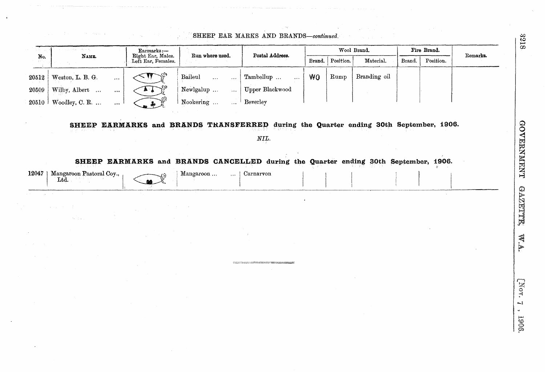|       | $1.5 + 1.5$              |          |                                                       | Run where used.                                                                                              | Postal Address.                                                                                                                                               |           |           | Wool Brand.  |        | Fire Brand. |          |
|-------|--------------------------|----------|-------------------------------------------------------|--------------------------------------------------------------------------------------------------------------|---------------------------------------------------------------------------------------------------------------------------------------------------------------|-----------|-----------|--------------|--------|-------------|----------|
| No.   | NAME.                    |          | Earmarks:—<br>Right Ear, Males.<br>Left Ear, Females. |                                                                                                              |                                                                                                                                                               | Brand.    | Position. | Material.    | Brand. | Position.   | Remarks. |
| 20512 | Weston, L. B. G.         | $\cdots$ |                                                       | Baileul<br>$\ddotsc$<br>$\ddotsc$                                                                            | Tambellup<br>$\ddotsc$                                                                                                                                        | <b>WO</b> | Rump      | Branding oil |        |             |          |
| 20509 | Wilby, Albert            | $\cdots$ |                                                       | Newlgalup<br>$\bar{\omega}$ .                                                                                | Upper Blackwood                                                                                                                                               |           |           |              |        |             |          |
| 20510 | Woodley, C. R.           | $\ldots$ |                                                       | Nookering<br>$\ddotsc$                                                                                       | Beverley                                                                                                                                                      |           |           |              |        |             |          |
|       |                          |          |                                                       | SHEEP EARMARKS and BRANDS TRANSFERRED during the Quarter ending 30th September, 1906.                        | NIL.                                                                                                                                                          |           |           |              |        |             |          |
| 12047 | Mangaroon Pastoral Coy., |          |                                                       | SHEEP EARMARKS and BRANDS CANCELLED during the Quarter ending 30th September, 1906.<br>Mangaroon<br>$\cdots$ | Carnarvon                                                                                                                                                     |           |           |              |        |             |          |
|       | Ltd.                     |          |                                                       |                                                                                                              |                                                                                                                                                               |           |           |              |        |             |          |
|       |                          |          |                                                       |                                                                                                              |                                                                                                                                                               |           |           |              |        |             |          |
|       |                          |          |                                                       |                                                                                                              |                                                                                                                                                               |           |           |              |        |             |          |
|       |                          |          |                                                       |                                                                                                              |                                                                                                                                                               |           |           |              |        |             |          |
|       |                          |          |                                                       |                                                                                                              |                                                                                                                                                               |           |           |              |        |             |          |
|       |                          |          |                                                       |                                                                                                              |                                                                                                                                                               |           |           |              |        |             |          |
|       |                          |          |                                                       |                                                                                                              |                                                                                                                                                               |           |           |              |        |             |          |
|       |                          |          |                                                       |                                                                                                              | .<br>2010 - Anim Parti Laurence, amerikanischer Anim II. (* 18. september 1983)<br>2010 - Anim Parti Laurence, amerikanischer Anim II. (* 18. september 1983) |           |           |              |        |             |          |
|       |                          |          |                                                       |                                                                                                              |                                                                                                                                                               |           |           |              |        |             |          |
|       |                          |          |                                                       |                                                                                                              |                                                                                                                                                               |           |           |              |        |             |          |

 $\ddot{\phantom{1}}$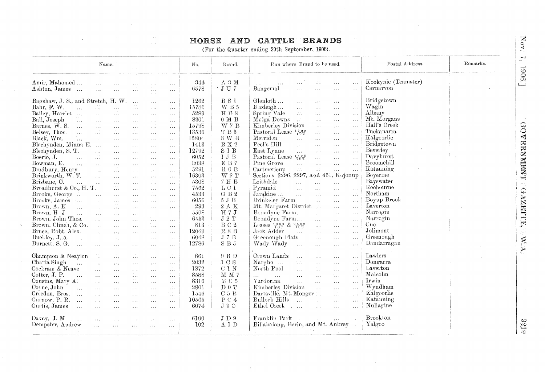# HORSE AND CATTLE BRANDS

(For the Quarter ending 30th September, 1906).

|                                                                                                                                                                                                                                                                                                                                                                                                                                                                                                                                                                                                                                   | Name.                                                                                                                                                                                                                                                                                                      |                                                                                                                                                                                                                                                                                                                                                                           |                                                                                                                                                                                                                                                                                                                                                                                                                                           |                                                                                                                                                                                                                                                                                                                                                                                                                                                                                        |                                                                                                                                                                                                                                                                                                                                                                                                                                                                                                      | No.                                                                                                                                                                                          | Brand.                                                                                                                                                                                                                                                        | Postal Address.<br>Run where Brand to be used.                                                                                                                                                                                                                                                                                                                                                                                                                                                                                                                                                                                                                                                                                                                                                                                                                                                                                                                                                                                                                                                                                                                                                                                                                                                                                                                                                                                                                                                                                                                                                                                                                                                                                                                                                                                                                                                                                                                                                                                                                                                                                                                                                                                                                          | Remarks. |
|-----------------------------------------------------------------------------------------------------------------------------------------------------------------------------------------------------------------------------------------------------------------------------------------------------------------------------------------------------------------------------------------------------------------------------------------------------------------------------------------------------------------------------------------------------------------------------------------------------------------------------------|------------------------------------------------------------------------------------------------------------------------------------------------------------------------------------------------------------------------------------------------------------------------------------------------------------|---------------------------------------------------------------------------------------------------------------------------------------------------------------------------------------------------------------------------------------------------------------------------------------------------------------------------------------------------------------------------|-------------------------------------------------------------------------------------------------------------------------------------------------------------------------------------------------------------------------------------------------------------------------------------------------------------------------------------------------------------------------------------------------------------------------------------------|----------------------------------------------------------------------------------------------------------------------------------------------------------------------------------------------------------------------------------------------------------------------------------------------------------------------------------------------------------------------------------------------------------------------------------------------------------------------------------------|------------------------------------------------------------------------------------------------------------------------------------------------------------------------------------------------------------------------------------------------------------------------------------------------------------------------------------------------------------------------------------------------------------------------------------------------------------------------------------------------------|----------------------------------------------------------------------------------------------------------------------------------------------------------------------------------------------|---------------------------------------------------------------------------------------------------------------------------------------------------------------------------------------------------------------------------------------------------------------|-------------------------------------------------------------------------------------------------------------------------------------------------------------------------------------------------------------------------------------------------------------------------------------------------------------------------------------------------------------------------------------------------------------------------------------------------------------------------------------------------------------------------------------------------------------------------------------------------------------------------------------------------------------------------------------------------------------------------------------------------------------------------------------------------------------------------------------------------------------------------------------------------------------------------------------------------------------------------------------------------------------------------------------------------------------------------------------------------------------------------------------------------------------------------------------------------------------------------------------------------------------------------------------------------------------------------------------------------------------------------------------------------------------------------------------------------------------------------------------------------------------------------------------------------------------------------------------------------------------------------------------------------------------------------------------------------------------------------------------------------------------------------------------------------------------------------------------------------------------------------------------------------------------------------------------------------------------------------------------------------------------------------------------------------------------------------------------------------------------------------------------------------------------------------------------------------------------------------------------------------------------------------|----------|
| Amir, Mahomed<br>Ashton, James<br>$\sim$ .                                                                                                                                                                                                                                                                                                                                                                                                                                                                                                                                                                                        | $\sim$ . $\sim$<br>$\ldots$                                                                                                                                                                                                                                                                                | $\cdots$<br>$\ldots$                                                                                                                                                                                                                                                                                                                                                      | $\sim$ $\sim$ $\sim$<br>$\ldots$                                                                                                                                                                                                                                                                                                                                                                                                          | $\sim$ $\sim$ $\sim$<br>$\sim$ $\sim$ $\sim$<br>$\sim$                                                                                                                                                                                                                                                                                                                                                                                                                                 | $\sim 100$<br>$\ldots$                                                                                                                                                                                                                                                                                                                                                                                                                                                                               | 344<br>6578                                                                                                                                                                                  | A 3 M<br>$\cdot$ J U $\rm 7$                                                                                                                                                                                                                                  | Kookynie (Teamster)<br>22<br>$\cdots$<br>$\ldots$<br>Carnarvon<br>Bangemal<br>$\cdots$<br>sis.<br>$\ldots$<br>$\sim$ - $\sim$<br>$\sim$                                                                                                                                                                                                                                                                                                                                                                                                                                                                                                                                                                                                                                                                                                                                                                                                                                                                                                                                                                                                                                                                                                                                                                                                                                                                                                                                                                                                                                                                                                                                                                                                                                                                                                                                                                                                                                                                                                                                                                                                                                                                                                                                 |          |
| Bagshaw, J. S., and Stretch, H. W.<br>Bahr, F. W.<br>$\ddotsc$<br>Bailey, Harriet<br>Ball, Joseph<br>$\sim$ $\sim$ $\sim$<br>Barnes, W. S.<br>$\sim 100$<br>Belsey, Thos.<br>$\ddotsc$<br>Black, Wm.<br>$\ddotsc$<br>Blechynden, Minna E.<br>Blechynden, S. T.<br>Boerio, J.<br>$\sim$ .<br>Bowman, E.<br>$\cdots$<br>Bradbury, Henry<br>Brinkworth, W. T.<br>Brisbane, C.<br>$\dddot{\phantom{0}}$<br>Broadhurst & Co., H. T.<br>Brooks, George<br>Brooks, James<br>Brown, A. K.<br>$\dddotsc$<br>Brown, H. J.<br>$\mathbf{1}$<br>Brown, John Thos.<br>Brown, Clinch, & Co.<br>Bruce, Robt. Alex.<br>Buckley, J.A.<br>$\sim 100$ | $\sim$ $\sim$ $\sim$<br>$\sim 10$<br>$\sim$ .<br>$\ldots$<br>$\sim$ - $\sim$<br>$\Delta$ .<br>$\ddotsc$<br>$\mathcal{L}_{\mathcal{A}}$<br>$\sim 100$<br>$\ldots$<br>$\ddotsc$<br>$\dddotsc$<br>$\ldots$<br>$\cdots$<br>$\cdots$<br>$\sim 10$<br>$\ldots$<br>$\sim$<br>$\mathbf{A}$<br>$\sim$ $\sim$ $\sim$ | $\sim$ $\sim$ $\sim$<br>$\sim$ $\sim$ $\sim$<br>$\sim$ $\sim$ $\sim$<br>$\sim$ $\sim$<br>$\cdots$<br>$\cdots$<br>$\ldots$ .<br>$\ldots$ .<br>$\sim$ $\sim$<br>$\cdots$<br>$\sim 100$ km s $^{-1}$<br>$\sim$ $\sim$ $\sim$<br>$\sim$ $\sim$<br>$\sim$ $\sim$<br>$\sim$ $\sim$<br>$\sim$ $\sim$<br>$\cdots$<br>$\sim 10$<br>$\cdots$<br>$\cdots$<br>$\sim 10$<br>$\sim 100$ | $\ldots$<br>$\sim$ $\sim$ $\sim$<br>$\sim$ $\sim$ $\sim$<br>$\sim$ $\sim$ $\sim$<br>$\sim$ $\sim$ $\sim$<br>$\sim$ $\sim$ $\sim$<br>$\cdots$<br>$\sim 100$<br>$\sim 100$<br>$\sim$ $\sim$ $\sim$<br>$\sim 100$<br>$\sim$ $\sim$ $\sim$<br>$\sim$ $\sim$ $\sim$<br>$\sim$ $\sim$<br>$\ldots$<br>$\sim 100$<br>$\cdots$<br>$\alpha \rightarrow \infty$<br>$\cdots$<br>$\ddotsc$<br>$\sim$ .<br>$\sim$ $\sim$ $\sim$<br>$\sim$ $\sim$ $\sim$ | $\sim 10$<br>$\sim 10^{-1}$<br>$\ldots$<br>$\ldots$<br>$\alpha=\alpha-\alpha$ .<br>$\sim$ $\sim$ $\sim$<br>$\sim$ $\sim$<br>$\sim$ $\sim$ $\sim$<br>$\cdots$<br>$\sim$ $\sim$ $\sim$<br>$\sim 100$<br>$\lambda \rightarrow \infty$<br>$\alpha$ , $\alpha$<br>$\cdots$<br>$\ldots$<br>$\sim$ $\sim$ $\sim$<br>$\cdots$<br>$\sim$ $\sim$<br>$\sim$ $\sim$ $\sim$<br>$\cdots$<br>$\sim$ $\sim$ $\sim$<br>$\sim$ $\sim$ $\sim$<br>$\cdots$<br>$\cdots$<br>$\sim$ $\sim$ $\sim$<br>$\cdots$ | $\ldots$<br>$\sim$ $\sim$ $\sim$<br>$\sim$ $\sim$ $\sim$<br>$\alpha$ , $\alpha$ , $\alpha$ .<br>$\sim$ $\sim$ $\sim$<br>$\sim$ $\sim$<br>$\mathbf{r} \rightarrow \mathbf{r}$<br>$\ddot{\phantom{1}}$ .<br>$\ldots$<br>$\ldots$<br>$\sim 100$<br>$\sim$<br>$\sim$ $\sim$ $\sim$<br>$\sim$ $\sim$<br>$\sim 100$<br>$\ldots$<br>$\mathbf{z} \neq \mathbf{z}$ .<br>$\mathbf{r}$<br>$\sim$ $\sim$<br>$\sim$ $\sim$ $\sim$<br>$\alpha$ . $\alpha$ .<br>$\ldots$ .<br>$\kappa \propto \kappa$<br>$\sim 100$ | 1262<br>15786<br>5289<br>8301<br>15798<br>13536<br>15804<br>1413<br>12792<br>6052<br>3038<br>5291<br>16303<br>5308<br>7562<br>4533<br>6056<br>293<br>5508<br>6553<br>813<br>12049<br>$-6048$ | B S1<br>W B 5<br>H B 8<br>$0\,$ M $\,$ B<br>W 7 B<br>$\mathcal{T}$ B $5$<br>3 W B<br>$\rm B~X~2$<br>S1B<br>1JB<br>EB7<br>$H$ 0 $B$<br>W2T<br>7 H B<br>L C1<br>$G\,$ B $2$<br>$5\ J\ B$<br>$2$ A $\rm K$<br>H $7J$<br>$\rm J$ 2 $\rm T$<br>B C 2<br>R8B<br>J7B | Bridgetown<br>Glenloth<br>$\sim$ . $\sim$<br>$\sim$ $\sim$ $\sim$<br>$\sim$ $\sim$ $\sim$<br>$\sim$ $\sim$ $\sim$<br>Wagin<br>Hazleigh<br>$\ldots$<br>$\sim$ $\sim$<br>$\cdots$<br>$\sim 100$<br>Albany<br>Spring Vale<br>$\mathcal{L}(\mathcal{L})$<br>W.<br>$\cdots$<br>$\sim$ $\sim$<br>Mt. Morgans<br>Mulga Downs<br>$\sim 10^6$<br>$\sim$ .<br>$\sim$ .<br>$\sim$ $\sim$ $\sim$<br>Hall's Creek<br>Kimberley Division<br>$\mathcal{L}_{\mathcal{A}}$ .<br>$\cdots$<br>$\sim$ $\sim$ $\sim$<br>Tuckanarra<br>Pastoral Lease $\frac{1709}{102}$<br>$\mathcal{L}^{\text{max}}$<br>$\sim$ $\sim$ $\sim$<br>$\cdots$<br>Kalgoorlie<br>Merriden<br>$\ddotsc$<br>$\sim$ $\sim$<br>$\cdots$<br>$\ldots$ .<br>Bridgetown<br>Peel's Hill<br>$\ldots$<br>$\sim$ $\sim$<br>$\mathbf{z} \leftarrow \mathbf{z}$ .<br>$\sim$ $\sim$ $\sim$<br>Beverley<br>East Lynne<br>$\mathcal{L}_{\mathbf{z},\mathbf{z},\mathbf{z}}$<br>$\ldots$<br>See.<br>$\sim 100$<br>Davyhurst<br>Pastoral Lease $\frac{14.9.6}{1.0.2}$<br>$\ldots$<br>$\ldots$<br>$\ldots$<br>Broomehill<br>Pine Grove<br>$\sim 10^{-1}$<br>$\ddots$<br>$\sim$ $\sim$<br>$\cdots$<br>Katanning<br>Cartmeticup<br>$\mathcal{L}^{\mathcal{L}}_{\mathbf{r},\mathbf{r}}$<br>$\sim 10$<br>$\ddotsc$<br>$\cdots$<br>Sections 2296, 2297, and 461, Kojonup<br>Boyerine<br>Bayswater<br>Leithdale<br>$\sqrt{2}$ .<br>$\ddotsc$<br>$\sim$ $\sim$ $\sim$<br>$\cdots$<br>Roebourne<br>Pyramid<br>$\sqrt{2}$<br>$\ldots$<br>$\ldots$<br>$\sim$ .<br>Northam<br>Jarakine<br>$\mathbf{1}$<br>$\mathcal{L}$<br>$\mathbf{A}$<br>$\sim$ $\sim$ $\sim$<br>Boyup Brook<br>Brinkeley Farm<br>$\mathbf{1}$ and $\mathbf{1}$<br>$\cdots$<br>$\ldots$<br>Laverton<br>Mt. Margaret District<br>$\ldots$<br>$\mathcal{L}_{\mathcal{A}}$ .<br>Narrogin<br>Boondyne Farm<br>$\sim$<br>$\ldots$<br>$\ldots$<br>Narrogin<br>Boondyne Farm<br>$\frac{1}{2}$ , $\frac{1}{2}$ ,<br>i vi<br>$\sim$ $\sim$<br>Cue<br>Leases $\frac{2.86.9}{1.02}$ & $\frac{2.59.2}{1.02}$<br>$\cdots$<br>$\sim 100$<br>$\sim$ $\sim$ $\sim$<br>Jolimont<br>Jack Adder<br>in De<br>$\mathcal{L}_{\mathcal{F}}$ .<br>$\sim$ $\sim$ $\sim$<br>$\sim$ - $\sim$<br>Greenough<br>Greenough Flats<br>$\mathcal{L}(\mathcal{L}(\mathcal{L}))$<br>$\ldots$<br>$\sim$ $\sim$ $\sim$ |          |
| Burnett, S. G.<br>$\ddotsc$<br>Champion & Neaylon<br>Chatta Singh<br>$\dddotsc$<br>Cockram & Neave<br>Cotter, J. P.<br>$\sim 10$<br>Cousins, Mary A.<br>Coyne, John<br>$\mathcal{L}$<br>Creedon, Bros.<br>$\cdots$<br>Curnow, P. R.<br>$\sim$ . $\sim$<br>Curtis, James<br>$\sim$<br>Davey, J. M.<br>$\sim$ .<br>Dempster, Andrew                                                                                                                                                                                                                                                                                                 | $\ldots$<br>$\frac{1}{2}$ .<br>$\ldots$<br>$\sim 10$<br>$\ldots$<br>$\ldots$<br>$\sim$ $\sim$<br>$\sim$ $\sim$<br>$\sim 100$<br>$\alpha$ . $\alpha$<br>$\sim$ $\sim$ $\sim$<br>$\ldots$                                                                                                                    | $\sim$ $\sim$ $\sim$<br>$\cdots$<br>$\ldots$<br>$\sim$ $\sim$<br>$\ldots$<br>$\cdots$<br>$\sim$ $\sim$<br>$\sim$ $\sim$ $\sim$<br>$\sim$ $\sim$<br>$\cdots$<br>$\ddotsc$<br>$\cdots$                                                                                                                                                                                      | $\sim$ $\sim$ $\sim$<br>$\sim$<br>$\cdots$<br>$\dots$<br>$\sim$ $\sim$ $\sim$<br>$\cdots$<br>$\sim 100$<br>$\cdots$<br>$\ldots$<br>$\sim$ $\sim$ $\sim$<br>$\cdots$<br>$\sim$ $\sim$ $\sim$<br>$\cdots$                                                                                                                                                                                                                                   | $\sim$ $\sim$ $\sim$<br>$\alpha$ .<br>$\cdots$<br>$\ldots$<br>$\ldots$<br>$\cdots$<br>$\cdots$<br>$\sim$ $\sim$<br>$\sim$ $\sim$ $\sim$<br>$\cdots$<br>$\sim$ $\sim$ $\sim$<br>$\sim 100$<br>$\ldots$                                                                                                                                                                                                                                                                                  | $\sim$ $\sim$ $\sim$<br>$\sim$ $\sim$<br>$\cdots$<br>$\ldots$ .<br>$\cdots$<br>$\ldots$<br>$\sim$ $\sim$ $\sim$<br>$\ldots$ .<br>$\sim$ 100 $\mu$<br>$\sim$ $\sim$<br>$\ldots$ .<br>$\sim 100$<br>$\sim$ $\sim$ $\sim$<br>$\ldots$                                                                                                                                                                                                                                                                   | 12786<br>861<br>2032<br>1872<br>8588<br>8316<br>2801<br>1546<br>10565<br>6074<br>6100<br>102                                                                                                 | $\rm S$ B $\rm 5$<br>$0$ B $\mathcal{D}$<br>$1 C S$<br>C <sub>1</sub> N<br>$M$ $M$ $7$<br>$MC$ 5<br>D 0 T<br>C <sub>5</sub> B<br>P C 4<br>J3C<br>$J$ D $9$<br>A 1 D                                                                                           | Dandarragan<br>Wady Wady<br>$\ddotsc$<br>$\cdots$<br>$\sim$ $\sim$ $\sim$<br>$\sim$ $\sim$<br>a sa ba<br>Lawlers<br>Crown Lands<br>$\sim 10$<br>$\sim 10$<br>$\ddotsc$<br>$\sim 100$<br>Dongarra<br>Nargho<br>$\mathcal{L}(\mathcal{L})$<br>$\cdots$<br>$\sim 100$<br>$\ldots$<br>Laverton<br>North Pool<br>$\mathcal{L}_{\text{max}}$<br>$\sim 10$<br>W.<br>$\sim$ $\sim$ $\sim$<br>Malcolm<br>W<br>$\ldots$<br>$\ldots$<br>$\cdots$<br>$\sim$ $\sim$<br>$\sim 100$<br>Irwin<br>Yardorina<br>$\ddotsc$<br>W.<br>$\sim$ $\sim$ $\sim$<br>$\ldots$<br>Wyndham<br>Kimberley Division<br>$\mathbf{r}$<br>$\sim$ $\sim$ $\sim$<br>$\sim$ $\sim$ $\sim$<br>Kalgoorlie<br>Dartsville, Mt. Monger<br>$\mathcal{L}_{\mathcal{A},\mathcal{A}}$<br>$\ldots$<br><b>Bullock Hills</b><br>Katanning<br>$\mathbf{r}$<br>а.<br>$\ldots$<br>$\ldots$<br>Nullagine<br>Ethel Creek<br>$\Delta \sim 1.14$<br>$\ddotsc$<br>$\cdots$<br>$\ldots$<br>Brookton<br>Franklin Park<br>$\sim 10^{-1}$<br>$\cdots$<br>Billabalong, Berin, and Mt. Aubrey<br>Yalgoo                                                                                                                                                                                                                                                                                                                                                                                                                                                                                                                                                                                                                                                                                                                                                                                                                                                                                                                                                                                                                                                                                                                                                                                                                                  |          |

821.9

Nov. 7, 1906.]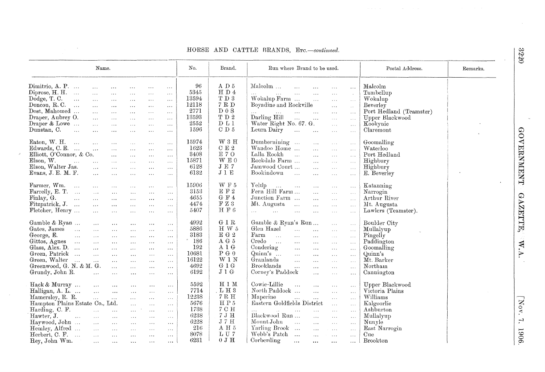### HORSE AND CATTLE BRANDS, Erc.-continued.

 $\epsilon$ 

 $\bar{\nu}$ 

|                                             | Name.                                                     |                      |                      |                      |                      | No.           | Brand.                 | Run where Brand to be used.                                                                                                                                                                                                                                                                                                                                                                                                                                                                                 | Postal Address.         | Remarks. |
|---------------------------------------------|-----------------------------------------------------------|----------------------|----------------------|----------------------|----------------------|---------------|------------------------|-------------------------------------------------------------------------------------------------------------------------------------------------------------------------------------------------------------------------------------------------------------------------------------------------------------------------------------------------------------------------------------------------------------------------------------------------------------------------------------------------------------|-------------------------|----------|
| Dimitrio, A. P.                             | $\mathcal{L}(\mathcal{L})$                                | $\sim 100$           | $\sim 100$           | $\sim$ $\sim$ $\sim$ | $\sim$ $\sim$        | 96            | A D $5$                | Malcolm<br>$\sim$<br>$\ddotsc$<br>$\ldots$<br>$\ldots$                                                                                                                                                                                                                                                                                                                                                                                                                                                      | Malcolm                 |          |
| Diprose, H. H.                              | $\sim$                                                    | $\ldots$             | $\ldots$             | $\sim$ $\sim$ $\sim$ |                      | 5345          | H D 4                  | $\mathbf{r}$ and $\mathbf{r}$ are all $\mathbf{r}$<br>$\ddotsc$<br>$\overline{\mathcal{L}}$ .                                                                                                                                                                                                                                                                                                                                                                                                               | Tambellup               |          |
| Dodge, T. C.<br>$\sim$ $\sim$               | $\sim$ .                                                  | $\Delta\Delta\Delta$ |                      |                      | $\ldots$             | 13594         | $\rm T~D~3$            | $\sim$<br>Wokalup Farm<br>$\mathbf{r}$                                                                                                                                                                                                                                                                                                                                                                                                                                                                      | Wokalup                 |          |
| Doncon, $R. C.$                             |                                                           |                      | $\ldots$             | $\sim$ $\sim$ $\sim$ | $\ldots$             | 12118         | $7\,$ R $\rm D$        | $\ldots$<br>$\ldots$<br>Boyadine and Rockville                                                                                                                                                                                                                                                                                                                                                                                                                                                              | Beverley                |          |
|                                             | $\sim 100$                                                | $\sim$ $\sim$ $\sim$ | $\cdots$             | $\sim 100$           | $\ldots$             | 2771          | $D_0S$                 | $\ldots$<br>$\sim$                                                                                                                                                                                                                                                                                                                                                                                                                                                                                          |                         |          |
| Dost, Mahomed                               | $\sim 10^{-1}$                                            | $\cdots$             | $\sim$ $\sim$ $\sim$ | $\ldots$             | $\ldots$             |               |                        | $\sim 100$<br>$\sim 100$ and $\sim 100$<br>$\mathcal{L}_{\mathcal{A}}$ .<br>$\ldots$<br><b>Carlos</b>                                                                                                                                                                                                                                                                                                                                                                                                       | Port Hedland (Teamster) |          |
| Draper, Aubrey O.                           | $\cdots$                                                  | $\ldots$             | $\ldots$             | $\sim 10$            | $\cdots$             | 13593         | $\rm T$ D $\rm 2$      | Darling Hill<br>$\sim$<br>$\sim 100$ and $\sim 100$<br>$\ldots$<br>$\ldots$ .                                                                                                                                                                                                                                                                                                                                                                                                                               | Upper Blackwood         |          |
| Draper & Lowe                               | $\cdots$                                                  | $\cdots$             | $\sim$ $\sim$ $\sim$ | $\ldots$             | $\cdots$             | 2552          | D L 1                  | Water Right No. 67. G.<br>$\sim$ .<br>$\sim 10$                                                                                                                                                                                                                                                                                                                                                                                                                                                             | Kookynie                |          |
| Dunstan, C.<br>$\sim 10$                    | $\mathbf{1}$                                              | $\sim 10^{-1}$       | $\sim$ 4 $\sim$      | $\sim$ $\sim$ $\sim$ | $\sim 100$           | 1596          | CD <sub>5</sub>        | Leura Dairy<br>$\sim 100$<br>$\sim 100$<br>$\sim$ .<br>$\ldots$                                                                                                                                                                                                                                                                                                                                                                                                                                             | Claremont               |          |
| Eaton, W. H.<br>$\cdots$                    | $\sim$ .                                                  | $\ldots$             | $\sim$ $\sim$ $\sim$ | $\sim$ $\sim$ $\sim$ | $\ldots$             | 15974         | W3H                    | Dumbernining<br>$\ldots$<br>$\sim 100$<br>$\ldots$                                                                                                                                                                                                                                                                                                                                                                                                                                                          | Goomalling              |          |
| Edwards, C. E.                              | $\sim$                                                    | $\ldots$             | $\sim 100$           | $\sim$ $\sim$ $\sim$ | $\ldots$             | 1623          | $C E 2$                | Wandoo Home<br>$\mathbf{A}$<br>$\sim 100$<br>$\sim$ . $\sim$                                                                                                                                                                                                                                                                                                                                                                                                                                                | Waterloo                |          |
| Elliott, O'Connor, & Co.                    |                                                           | $\cdots$             | $\sim 100$           | $\sim 100$           | $\ldots$             | 3408          | E70                    | Lalla Rookh<br>$\sim 100$<br>$\mathbf{1}$<br>$\ldots$<br>$\sim 100$                                                                                                                                                                                                                                                                                                                                                                                                                                         | Port Hedland            |          |
| Elson, $W$ .<br>$\mathbf{r}$ , $\mathbf{r}$ | $\mathbf{L}$                                              | $\sim$ .             | $\ldots$             | $\sim 100$           | $\sim$ $\sim$ $\sim$ | 15871         | W E 0                  | Rockdale Farm<br>$\sim$<br>$\sim$ $\sim$ $\sim$<br>$\ldots$                                                                                                                                                                                                                                                                                                                                                                                                                                                 | Highbury                |          |
| Elson, Walter Jas.                          | $\ddotsc$                                                 | $\ddotsc$            | $\sim$ $\sim$        | $\cdots$             | $\dots$              | 6128          | $\rm J \,\, E$ $\rm 7$ | Jamwood Court<br>$\sim 10^{-1}$<br>$\ldots$ .<br>$\sim 100$                                                                                                                                                                                                                                                                                                                                                                                                                                                 | Highbury                |          |
| Evans, J. E. M. F.                          | $\ddotsc$                                                 | $\ddotsc$            | $\sim$ $\sim$ $\sim$ | $\sim 10^{-1}$       | $\sim$ $\sim$ $\sim$ | 6132          | J 1 E                  | Bookindown<br>$\sim$ 100<br>$\sim 10$<br>$\ddotsc$<br>$\sim$ $\sim$ $\sim$                                                                                                                                                                                                                                                                                                                                                                                                                                  | E. Beverley             |          |
| Farmer, Wm.<br>$\sim 100$                   | $\sim 100$                                                | $\sim$ $\sim$        | $\sim 100$           | $\sim$ $\sim$ $\sim$ | $\ldots$             | 15906         | WF5                    | Yelup<br>$\Delta\Delta\phi$ and $\Delta\phi$<br>$\sim 100$<br>$\ldots$<br>$\sim 100$                                                                                                                                                                                                                                                                                                                                                                                                                        | Katanning               |          |
| Farrelly, E. T.                             | $\sim 100$                                                |                      |                      |                      |                      | 3153          | $\to$ F $2$            | Fern Hill Farm<br>$\ddotsc$                                                                                                                                                                                                                                                                                                                                                                                                                                                                                 | Narrogin                |          |
| Finlay, G.<br>$\sim$                        |                                                           | $\sim$ $\sim$ $\sim$ | $\sim$ $\sim$ $\sim$ | $\sim$ $\sim$        | $\ldots$             | 4655          | $G \tF 4$              | $\sim 100$<br>$\sim$ . $\sim$<br>Junction Farm<br>$\mathbf{r}$                                                                                                                                                                                                                                                                                                                                                                                                                                              | Arthur River            |          |
|                                             | $\mathcal{L}(\mathcal{L}(\mathcal{L}))$                   | $\sim$ $\sim$ $\sim$ | $\sim$ $\sim$ $\sim$ | $\ldots$             | $\sim 100$           | 4474          | $\rm F~Z~3$            | $\ldots$<br>$\sim 100$<br>Mt. Augusta                                                                                                                                                                                                                                                                                                                                                                                                                                                                       |                         |          |
| Fitzpatrick, J.                             | $\sim 10^{-1}$                                            | $\cdots$             | $\sim 100$           | $\sim 100$           | $\sim$ $\sim$ $\sim$ |               | H F $6$                | $\sim$ $\sim$<br>$\mathcal{L}_{\mathcal{A},\mathcal{A}}$<br>$\bar{\lambda}$ .<br>$\sim$ $\sim$ $\sim$                                                                                                                                                                                                                                                                                                                                                                                                       | Mt. Augusta             |          |
| Fletcher, Henry                             | $\mathbf{r}$                                              | $\ldots$             | $\sim$ $\sim$ $\sim$ | $\ldots$             | $\ldots$             | 5407          |                        | $\ddotsc$<br>$\mathcal{L}(\mathcal{L}(\mathcal{L}(\mathcal{L}(\mathcal{L}(\mathcal{L}(\mathcal{L}(\mathcal{L}(\mathcal{L}(\mathcal{L}(\mathcal{L}(\mathcal{L}(\mathcal{L}(\mathcal{L}(\mathcal{L}(\mathcal{L}(\mathcal{L}(\mathcal{L}(\mathcal{L}(\mathcal{L}(\mathcal{L}(\mathcal{L}(\mathcal{L}(\mathcal{L}(\mathcal{L}(\mathcal{L}(\mathcal{L}(\mathcal{L}(\mathcal{L}(\mathcal{L}(\mathcal{L}(\mathcal{L}(\mathcal{L}(\mathcal{L}(\mathcal{L}(\mathcal{L}(\mathcal{$<br>$\ddotsc$<br>$\sim$<br>$\ldots$ | Lawlers (Teamster).     |          |
| Gamble & Ryan                               | $\sim 100$                                                | $\cdots$             | $\sim$ $\sim$ $\sim$ | $\sim$ $\sim$ $\sim$ | $\sim$ $\sim$ $\sim$ | 4992          | G 1 R                  | Gamble & Ryan's Run<br>$\sim$ . $\sim$<br>$\sim 100$                                                                                                                                                                                                                                                                                                                                                                                                                                                        | Boulder City            |          |
| Gates, James                                | $\sim 100$                                                | $\cdots$             | $\sim$ $\sim$ $\sim$ | $\sim$ $\sim$        | $\ddotsc$            | 5886          | H W $5$                | Glen Hazel<br>$\dddotsc$<br>$\ddotsc$<br>$\bar{\Delta}$ and<br>$\sim 100$                                                                                                                                                                                                                                                                                                                                                                                                                                   | Mullalyup               |          |
| George, E.<br>$\sim$                        | $\sim 100$                                                | $\sim$ $\sim$ $\sim$ | $\sim 100$           | $\ldots$             | $\sim 10$            | 3183          | E G 2                  | $\rm{Farm}$<br>التعداد<br>$\sim$ .<br>$\ddotsc$<br>$\ddotsc$<br>$\sim$ $\sim$ $\sim$                                                                                                                                                                                                                                                                                                                                                                                                                        | Pingelly                |          |
| Gittos, Agnes                               | $\sim$ .                                                  | $\sim 10^{-1}$       | $\sim$ $\sim$ $\sim$ | $\sim 100$           | $\sim$ $\sim$        | $^*$ 186 $\,$ | A G $5$                | Credo<br>$\sim 100$<br>$\ldots$<br>$\sim$ .<br>$\sim$ $\sim$ $\sim$                                                                                                                                                                                                                                                                                                                                                                                                                                         | Paddington              |          |
| Glass, Alex. D.                             | $\mathbf{1}$                                              | $\cdots$             | $\mathbf{r}$         | $\cdots$             | $\cdots$             | 192           | $A$ 1 $G$              | Condering<br>$\sim$ .<br>$\sim 10$<br>$\ldots$<br>$\ldots$                                                                                                                                                                                                                                                                                                                                                                                                                                                  | Goomalling              |          |
| Green, Patrick                              | $\ddotsc$                                                 | $\cdots$             | $\ldots$             | $\sim$ $\sim$        | $\sim$ $\sim$ $\sim$ | 10681         | ${\bf P}$ G $0$        | $Quinn's$<br>$\sim 100$<br>$\sim$ .<br>$\ldots$<br>$\ldots$                                                                                                                                                                                                                                                                                                                                                                                                                                                 | Quinn's                 |          |
| Green, Walter<br>$\cdots$                   | $\mathbf{1}$                                              | $\dddotsc$           | $\sim$ $\sim$ $\sim$ | $\cdots$             | $\ldots$             | 16122         | W 1 N                  | Granlands<br>$\mathbf{L}$<br>$\dddotsc$<br>$\sim$ . $\sim$<br>$\sim$ $\sim$ $\sim$                                                                                                                                                                                                                                                                                                                                                                                                                          | Mt. Barker              |          |
| Greenwood, G. N. & M. G.                    |                                                           | $\ddotsc$            | $\cdots$             | $\sim 10^{-1}$       | $\ldots$             | 4692          | G1G                    | <b>Brooklands</b><br>$\ldots$<br>$\sim 10$<br>$\sim$ .<br>$\sim 100$                                                                                                                                                                                                                                                                                                                                                                                                                                        | Northam                 |          |
| Grundy, John R.                             | $\ddotsc$                                                 | $\cdots$             | $\ldots$ .           | $\sim$ $\sim$        | $\ldots$             | 6192          | J1G                    | Corney's Paddock<br>$\ddotsc$<br>$\ldots$<br>$\sim 10$ .                                                                                                                                                                                                                                                                                                                                                                                                                                                    | Cannington              |          |
| Hack & Murray                               | $\sim$                                                    | $\cdots$             | $\sim 100$           | $\cdots$             | $\ldots$             | 5592          | H 1 M                  | Cowie-Lillie<br>$\sim$<br>$\sim 100$<br>$\sim$ $\sim$<br>$\sim$ $\sim$ $\sim$                                                                                                                                                                                                                                                                                                                                                                                                                               | Upper Blackwood         |          |
| Halligan, A. L.                             | $\mathbf{r}$                                              | $\mathbf{r}$ .       | $\ldots$             | $\ldots$             | $\sim$ $\sim$ $\sim$ | 7714          | L H 3                  | North Paddock<br>$\sim$<br>$\sim$ .<br>$\sim$ $\sim$ $\sim$                                                                                                                                                                                                                                                                                                                                                                                                                                                 | Victoria Plains         |          |
| Hamersley, R. R.                            | $\mathcal{L}_{\text{max}}$ and $\mathcal{L}_{\text{max}}$ | $\sim 100$           | $\sim$ $\sim$        | $\sim$ $\sim$ $\sim$ | $\cdots$             | 12238         | 7 R H                  | Maperine<br>$\sim 10^{-10}$<br>$\sim$<br>$\ldots$<br>$\sim 10$                                                                                                                                                                                                                                                                                                                                                                                                                                              | Williams                |          |
| Hampton Plains Estate Co., Ltd.             |                                                           |                      | $\ddotsc$            |                      |                      | 5676          | H P $5$                | Eastern Goldfields District<br>$\sim 10$<br>$\sim$ .                                                                                                                                                                                                                                                                                                                                                                                                                                                        | Kalgoorlie              |          |
| Harding, C. F.                              | $\mathcal{L}_{\text{max}}$                                | $\ddotsc$            |                      | $\sim 100$           | $\ldots$             | 1738          | 7 C H                  |                                                                                                                                                                                                                                                                                                                                                                                                                                                                                                             | Ashburton               |          |
| Hawter, J.                                  |                                                           |                      | $\cdots$             | $\cdots$             | $\ldots$             | 6238          | 7 J H                  | $\ldots$<br>$\ldots$<br>$\ldots$ .<br>Blackwood Run                                                                                                                                                                                                                                                                                                                                                                                                                                                         | Mullalyup               |          |
| $\sim 100$                                  | $\sim 1.1$ .                                              | $\sim$ .             | $\sim 100$           | $\sim$ $\sim$        | $\sim$ $\sim$ $\sim$ | 6228          | $J 7 H$                | $\sim$ .<br>$\sim$ .<br>$\sim$ .<br>Mount John                                                                                                                                                                                                                                                                                                                                                                                                                                                              |                         |          |
| Haywood, John                               | $\sim 10^{-11}$                                           | $\sim 100$           | $\sim 100$           | $\sim 100$           | $\sim$ $\sim$ $\sim$ |               |                        | $\sim 100$<br>$\sim 100$<br>$\sim$ .<br>$\sim 100$                                                                                                                                                                                                                                                                                                                                                                                                                                                          | Nunyle                  |          |
| Hemley, Alfred                              | $\sim$ .                                                  | $\sim$ .             | $\sim 100$           | $\sim$ $\sim$ $\sim$ | $\sim$ $\sim$ $\sim$ | 216           | $\Lambda$ H $5$        | Yarling Brook<br>$\sim$ . $\sim$<br><b>Contractor</b><br>$\sim$ $\sim$                                                                                                                                                                                                                                                                                                                                                                                                                                      | East Narrogin           |          |
| Herbert, C. F.                              | $\Delta\Delta\sim 10$                                     | $\sim$               | $\cdots$             | $\sim 10$            | $\ldots$             | 8078          | LU7                    | Webb's Patch<br>$\mathcal{L}_{\text{max}}$<br>$\sim 10$<br>$\ldots$                                                                                                                                                                                                                                                                                                                                                                                                                                         | Cue                     |          |
| Hey, John Wm.                               | $\lambda$ and $\lambda$                                   | $\sim$ $\sim$ $\sim$ | $\ldots$             | $\sim$ $\sim$        | $\cdots$             | 6231          | 0 J H                  | Corberding<br>$\ldots$<br>$\ddotsc$<br>$\bullet$ + $\bullet$<br>$\bullet$ + $\bullet$                                                                                                                                                                                                                                                                                                                                                                                                                       | <b>Brookton</b>         |          |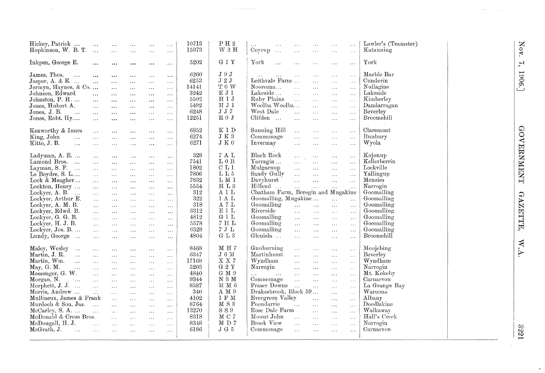| Hickey, Patrick                          | $\sim$ . $\sim$             | $\cdots$                    | $\cdots$             | $\cdots$                    | $\ldots$                | 10713 | $\rm P\ {\rm H}\ 2$ | Lawler's (Teamster)<br>$\ldots$<br>$\ddotsc$<br>$\ldots$<br>$\cdots$<br>$\ddotsc$                                    |
|------------------------------------------|-----------------------------|-----------------------------|----------------------|-----------------------------|-------------------------|-------|---------------------|----------------------------------------------------------------------------------------------------------------------|
| Hopkinson, W. B. T.                      | $\sim$                      | $\cdots$                    | $\cdots$             | $\ldots$                    | $\ldots$                | 15973 | $\rm W$ 2 $\rm H$   | Katanning<br>Coyrup<br>$\sim 10$<br>$\ldots$<br>$\cdots$<br>$\cdots$<br>$\ldots$                                     |
|                                          |                             |                             |                      |                             |                         |       |                     |                                                                                                                      |
| Inkpen, George E.                        | $\cdots$                    | $\cdots$                    | $\cdots$             | $\ldots$                    | $\ddotsc$               | 5202  | $G_1 Y$             | York<br>York<br>$\dddot{\phantom{0}}$<br>$\ddotsc$<br>$\cdots$<br>$\ldots$<br>$\cdots$                               |
| James, Thos.<br>$\ddotsc$                | $\cdots$                    | $\cdots$                    | $\cdots$             | $\sim$ $\sim$ $\sim$        | $\ddotsc$               | 6260  | J9J                 | Marble Bar<br>$\cdots$<br>$\cdots$<br>$\cdots$<br>$\cdots$<br>$\ddotsc$<br>$\ddotsc$                                 |
| Jasper, A. & E.                          | $\cdots$                    | $\cdots$                    | $\ldots$             | $\cdots$                    | $\ldots$                | 6253  | $\rm J$ 2 $\rm J$   | Leithvale Farm $\dots$<br>Cunderin<br>$\dddotsc$<br>$\ddotsc$<br>$\ddotsc$                                           |
| Jermyn, Haynes, & Co                     |                             | $\ldots$                    | $\cdots$             | $\ldots$                    | $\ldots$                | 14141 | T 0 W               | Nullagine<br>Nooreena<br>$\sim$ .<br>$\ddotsc$<br>$\bar{\omega}$ .<br>$\ddotsc$                                      |
| Johnson, Edward                          | $\ddotsc$                   | $\cdots$                    | $\ldots$             | $\cdots$                    | $\cdots$                | 3242  | EJ1                 | Lakeside<br>Lakeside<br>$\ddotsc$<br>$\ddotsc$<br>$\cdots$<br>$\ldots$                                               |
| Johnston, P. H.                          | $\cdots$                    | $\cdots$                    | $\cdots$             | $\cdots$                    | $\sim$ - $\sim$         | 5502  | $\rm H~1~J$         | Ruby Plains<br>Kimberley<br>$\ldots$<br>$\ldots$<br>$\ldots$<br>$\sim$ $\sim$                                        |
| Jones, Hubert A.                         | $\ddotsc$                   | $\cdots$                    | $\cdots$             | $\cdots$                    | $\sim$ $\sim$ $\sim$    | 5492  | HJ1                 | Woolba Woolba<br>Dandarragan<br>$\ldots$<br>$\sim$ $\sim$ $\sim$<br>$\ldots$                                         |
| Jones, J. B.<br>$\ddotsc$                | $\ddotsc$                   | $\cdots$                    | $\cdots$             | $\ddotsc$                   | $\sim$ $\sim$ $\sim$    | 6248  | $\rm J~J~7$         | West Dale<br>Beverley<br>$\ddotsc$<br>$\epsilon$ . $\epsilon$<br>$\bar{\mathbf{z}}$ , $\bar{\mathbf{z}}$<br>$\ldots$ |
| Jones, Robt. Hy                          | $\cdots$                    | $\cdots$                    | $\cdots$             | $\ddotsc$                   | $\cdots$                | 12251 | $R0$ J              | Broomehill<br>Clifden<br>$\ddotsc$<br>$\bar{\mathcal{L}}$ .<br>$\ldots$<br>$\sim$ $\sim$ $\sim$                      |
|                                          |                             |                             |                      |                             |                         |       |                     |                                                                                                                      |
| Kenworthy & Innes                        | $\sim$ $\sim$               | $\cdots$                    | $\ldots$             | $\sim$ $\sim$ $\sim$        | $\cdots$                | 6852  | K1D                 | Sunning Hill<br>Claremont<br>$\cdots$<br>$\ldots$<br>$\ldots$<br>$\ddotsc$                                           |
| King, John<br>$\dddotsc$                 | $\ddotsc$                   | $\ldots$                    | $\cdots$             | $\cdots$                    | $\ldots$                | 6274  | $J K 3$             | Bunbury<br>Commonage<br>$\ddotsc$<br>$\cdots$<br>$\ldots$<br>$\ldots$                                                |
| Kitto, J. B.<br>$\mathbf{r}$             | $\ddotsc$                   | $\cdots$                    | $\ldots$             | $\ldots$                    | $\sim$ $\sim$           | 6271  | J K 0               | Wyola<br>Invermay<br>$\ddotsc$<br>$\ldots$<br>$\cdots$<br>$\ldots$                                                   |
|                                          |                             |                             |                      |                             |                         |       |                     |                                                                                                                      |
| Ladyman, A. E.                           | $\cdots$                    | $\ldots$                    | $\ldots$             | $\ldots$                    | $\cdots$                | 328   | 7 A L               | Black Rock<br>Kojonup<br>$\ldots$<br>$\ldots$<br>$\sim 10$<br>$\ldots$                                               |
| Lamond Bros.                             | $\bar{z}$ .                 | $\cdots$                    | $\ldots$             | $\ldots$                    | $\sim$ $\sim$           | 7541  | $L_0$ B             | Kellerberrin<br>Yarragin<br>$\ddotsc$<br>$\mathbf{r}$<br>$\sim$ .<br>$\ddotsc$                                       |
| Layman, S. F.<br>$\sim$                  | $\ddotsc$                   | $\cdots$                    | $\ldots$             | $\ddotsc$                   | $\sim 10$               | 1802  | C L1                | Lockville<br>Mulgarnup<br>$\ldots$<br>$\ddotsc$<br>$\ddotsc$<br>$\ldots$                                             |
| Le Boydre, S. L                          | $\ddotsc$                   | $\cdots$                    | $\sim$ $\sim$ $\sim$ | $\sim$ $\sim$               | $\ldots$                | 7806  | $\rm L\;L\;5$       | Sandy Gully<br>Yallingup<br>$\mathcal{L}_{\text{tot}}$<br>$\ddotsc$<br>$\ldots$<br>$\ldots$                          |
| Lock & Meagher                           | $\cdots$                    | $\cdots$                    | $\cdots$             | $\ldots$                    | $\sim$ $\sim$ $\sim$    | 7832  | LM1                 | Davyhurst<br>Menzies<br>$\mathbf{1}$<br>$\ddotsc$<br>$\ddotsc$<br>$\ldots$                                           |
| Lockton, Henry                           | $\cdots$                    | $\cdots$                    | $\cdots$             | $\cdots$                    | $\cdots$                | 5554  | HL3                 | Hillend<br>Narrogin<br>$\mathcal{L}_{\mathcal{A},\mathcal{A}}$ .<br>$\ldots$<br>$\ldots$<br>$\cdots$                 |
| Lockyer, A. B.                           | $\ddotsc$                   | $\cdots$                    | $\ldots$             | $\sim$ $\sim$ $\sim$        | $\ldots$                | 312   | A 1 L               | Chatham Farm, Boregin and Mugakine<br>Goomalling                                                                     |
| Lockyer, Arthur E.                       | $\dddotsc$                  | $\sim 10$                   | $\sim$ $\sim$ $\sim$ | $\sim$ $\sim$               | $\cdots$                | 322   | 1 A L               | Goomalling, Mugakine<br>Goomalling<br>$\mathbf{a}$<br>$\bar{z}$ .                                                    |
| Lockyer, A. M. B.                        | $\ddotsc$                   | $\cdots$                    | $\sim$ . $\sim$      | $\cdots$                    | $\ldots$                | 318   | $A$ 7 $L$           | Goomalling<br>Goomalling<br>$\mathbf{r}$<br>$\sim 10^{-1}$<br>$\ldots$<br>$\ldots$                                   |
| Lockyer, Edwd. B.                        | $\ddotsc$                   | $\cdots$                    | $\cdots$             | $\sim 10$                   | $\cdots$                | 3312  | E1L                 | Riverside<br>Goomalling<br>$\bar{\mathcal{A}}$<br>$\cdots$<br>$\ldots$<br>$\ldots$                                   |
| Lockyer, G. G. B.                        | $\ddotsc$                   | $\ddotsc$                   | $\sim 10$            | $\sim$ $\sim$ $\sim$        | $\sim$ $\sim$ $\sim$    | 4812  | G1L                 | Goomalling<br>Goomalling<br>$\ldots$<br>$\sim 10^{-1}$<br>$\ldots$<br>$\lambda$ and $\lambda$                        |
| Lockyer, H. J. B.                        | $\dddotsc$                  | $\cdots$                    | $\sim$ $\sim$ $\sim$ | $\cdots$                    | $\ldots$                | 5578  | 7H                  | Goomalling<br>Goomalling<br>$\sim$ $^{-1}$<br>$\ldots$<br>$\cdots$<br>$\cdots$                                       |
| Lockyer, Jos. B.                         | $\ddotsc$                   | $\ldots$                    | $\ldots$             | $\ldots$                    | $\ldots$                | 6328  | 7JL                 | Goomalling<br>Goomalling<br>$\ddotsc$<br>$\ddotsc$<br>$\cdots$<br>$\ldots$                                           |
| Lundy, George $\dots$                    | $\ddotsc$                   | $\ldots$                    | $\ldots$             | $\ldots$                    | $\cdots$                | 4804  | G L 3               | Glenisla<br>Broomehill<br>$\cdots$<br>$\ddotsc$<br>$\cdots$<br>$\cdots$                                              |
|                                          |                             |                             |                      |                             |                         |       |                     |                                                                                                                      |
| Maley, Wesley<br>$\sim$ .                | $\sim$ $\sim$ $\sim$        | $\ldots$                    | $\ldots$             | $\alpha$ and                | $\cdots$                | 8468  | MH7                 | Gnuburning<br>Moojebing<br>$\cdots$<br>$\sim$ $\sim$ $\sim$<br>$\ldots$<br>$\cdots$                                  |
| Martin, J. R.<br>$\ddotsc$               | $\cdots$                    | $\cdots$                    | $\ldots$             | $\ldots$                    | $\cdots$                | 6347  | $\rm J$ 6 $\rm M$   | Martinhurst<br>Beverley<br>$\ddotsc$<br>$\ldots$<br>$\ddotsc$<br>$\cdots$                                            |
| Martin, Wm.<br>$\mathbf{r}$              | $\cdots$                    | $\cdots$                    | $\ldots$             | $\cdots$                    | $\lambda$ and $\lambda$ | 17168 | X X 7               | Wyndham<br>Wyndham<br>$\ddotsc$<br>$\dddot{\phantom{0}}$<br>$\sim 10$<br>$\cdots$                                    |
| May, G. M.<br>$\sim$                     | $\sim 10$                   | $\cdots$                    | $\ddotsc$            | $\cdots$                    | $\sim$ $\sim$           | 5203  | G <sub>2</sub> Y    | Narrogin<br>Narrogin<br>$\ddotsc$<br>$\overline{a}$ , $\overline{a}$<br>$\ldots$<br>$\sim 100$                       |
| Messenger, G. W.                         | $\ddotsc$                   | $\cdots$                    | $\ldots$             | $\cdots$                    | $\sim$ $\sim$ $\sim$    | 4840  | $\rm G~M~9$         | Mt. Kokeby<br>$\sim$ $\sim$<br>$\sim 10$<br>$\ddotsc$<br>$\ldots$<br>$\ddotsc$                                       |
| Morgan, N.<br>$\mathcal{L}^{\text{max}}$ | $\ddotsc$                   | $\mathbf{r}$ , $\mathbf{r}$ | $\ddotsc$            | $\ldots$                    | $\ldots$                | 9344  | N <sub>3</sub> M    | Carnarvon<br>Commonage<br>$\ddotsc$<br>$\ddotsc$<br>$\ddotsc$<br>$\mathcal{L}_{\mathcal{A}}$ .                       |
| Morphett, J. J.                          | $\ddotsc$                   | $\ddotsc$                   | $\ldots$             | $\ldots$                    | $\ldots$                | 8587  | M M 6               | Fraser Downs<br>La Grange Bay<br>$\ddotsc$<br>$\ddotsc$<br>$\cdots$<br>$\ddotsc$                                     |
| Morris, Andrew                           | $\mathcal{L}_{\mathcal{L}}$ | $\cdots$                    | $\ldots$             | $\sim$ $\sim$               | $\ldots$ .              | 340   | A M 9               | Drakesbrook, Block 59<br>Waroona<br>$\cdots$<br>$\cdots$                                                             |
| Mullineux, James & Frank                 |                             | $\cdots$                    | $\ldots$             | $\omega \rightarrow \omega$ | $\cdots$                | 4102  | 1 F M               | Albany<br>Evergreen Valley<br>$\dddotsc$<br>$\cdots$<br>$\ddotsc$                                                    |
| Murdoch & Son, Jas.                      | $\sim 100$                  | $\cdots$                    | $\ddotsc$            | $\sim$ .                    | $\ldots$                | 8764  | $\tt M$ S $3$       | Doodlakine<br>Poondarrie<br>$\cdots$<br>$\ddotsc$<br>$\ddotsc$<br>$\ldots$                                           |
| McCarley, S. A.                          | $\dddotsc$                  | $\ddot{\phantom{0}}$        | $\ldots$             | $\ldots$                    | $\sim$ $\sim$           | 13270 | S S 9               | Rose Dale Farm<br>Walkaway<br>$\mathbf{r}$<br>$\dddotsc$<br>$\ddotsc$                                                |
| McDonald & Cross Bros.                   |                             |                             | $\sim 10$            | $\ddotsc$                   | $\cdots$                | 8318  | MC <sub>7</sub>     | Mount John<br>Hall's Creek<br>$\ddotsc$<br>$\cdots$<br>$\ldots$<br>$\ddotsc$                                         |
| McDougall, H. J.                         | $\mathbf{r}$                | $\ldots$                    | $\cdots$             | $\sim$ $\sim$               | $\ldots$                | 8348  | MD7                 | Brook View<br>Narrogin<br>$\dddotsc$<br>$\ldots$<br>$\ldots$<br>$\mathbf{r}$                                         |
| McGrath, J.<br>$\cdots$                  | $\ldots$                    | $\ldots$                    | $\ldots$             | $\ldots$                    | $\sim$ $\sim$ $\sim$    | 6186  | J G 5               | Commonage<br>Carnarvon<br>$\ldots$<br>$\sim$ $\sim$<br>$\ddotsc$<br>$\ddotsc$                                        |
|                                          |                             |                             |                      |                             |                         |       |                     |                                                                                                                      |

Nov. 7, 1906.]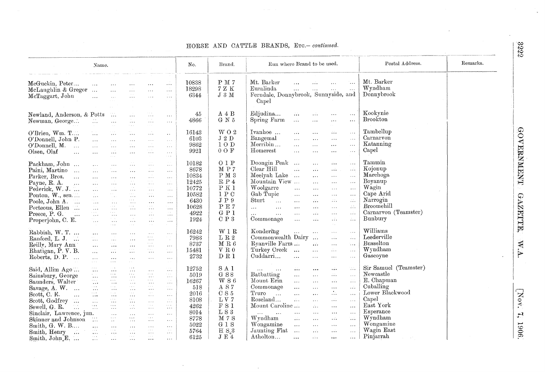#### HORSE AND CATTLE BRANDS, Erc.- continued.

|                                                                                                                                                                                                                                                                                                  | Name.                                                                                                                                                                                                                                            |                                                                                                                                                                                                                                                                                                                          |                                                                                                                                                                                                                                                                                                                                                                   |                                                                                                                                                                                                                                                                                                                                       |                                                                                                                                                                                                                                  | No.                                                                                | Brand.                                                                                                         | Run where Brand to be used.                                                                                                                                                                                                                                                                                                                                                                                                                                                                                                                                                                                                                                                                                                                                                                                                                                                                                                                                                                                                                            | Postal Address.<br>Remarks.              |
|--------------------------------------------------------------------------------------------------------------------------------------------------------------------------------------------------------------------------------------------------------------------------------------------------|--------------------------------------------------------------------------------------------------------------------------------------------------------------------------------------------------------------------------------------------------|--------------------------------------------------------------------------------------------------------------------------------------------------------------------------------------------------------------------------------------------------------------------------------------------------------------------------|-------------------------------------------------------------------------------------------------------------------------------------------------------------------------------------------------------------------------------------------------------------------------------------------------------------------------------------------------------------------|---------------------------------------------------------------------------------------------------------------------------------------------------------------------------------------------------------------------------------------------------------------------------------------------------------------------------------------|----------------------------------------------------------------------------------------------------------------------------------------------------------------------------------------------------------------------------------|------------------------------------------------------------------------------------|----------------------------------------------------------------------------------------------------------------|--------------------------------------------------------------------------------------------------------------------------------------------------------------------------------------------------------------------------------------------------------------------------------------------------------------------------------------------------------------------------------------------------------------------------------------------------------------------------------------------------------------------------------------------------------------------------------------------------------------------------------------------------------------------------------------------------------------------------------------------------------------------------------------------------------------------------------------------------------------------------------------------------------------------------------------------------------------------------------------------------------------------------------------------------------|------------------------------------------|
| McGuckin, Peter<br>McLaughlin & Gregor<br>McTaggart, John                                                                                                                                                                                                                                        | $\sim$<br>$\dddotsc$                                                                                                                                                                                                                             | $\sim 100$<br>$\mathbf{1}$ .<br>$\mathcal{L}_{\mathrm{max}}$<br>$\mathcal{A}^{\prime}$ , $\mathcal{A}^{\prime}$ , $\mathcal{A}^{\prime}$                                                                                                                                                                                 | $\mathbf{1}$<br>$\mathcal{L}_{\text{max}}$<br>$\ldots$<br>$\sim$ $\sim$                                                                                                                                                                                                                                                                                           | $\cdots$<br>$\ldots$<br>$\cdots$                                                                                                                                                                                                                                                                                                      | $\sim$ $\sim$ $\sim$<br>$\sim$ $\sim$ $\sim$<br>$\ldots$                                                                                                                                                                         | 10838<br>18298<br>6344                                                             | P M 7<br>$7$ Z $\rm K$<br>J 3 M                                                                                | Mt. Barker<br>Mt. Barker<br>$\ddot{\phantom{a}}$<br>$\mathcal{L}_{\mathbf{r},\mathbf{r},\mathbf{r}}$<br>$\ddotsc$<br>Wyndham<br>Euralinda<br>$\ddotsc$<br>$\ldots$<br>Ferndale, Donnybrook, Sunnyside, and<br>Donnybrook<br>Capel                                                                                                                                                                                                                                                                                                                                                                                                                                                                                                                                                                                                                                                                                                                                                                                                                      |                                          |
| Newland, Anderson, & Potts<br>Newman, George                                                                                                                                                                                                                                                     | $\mathbb{Z}_+^{\times}$                                                                                                                                                                                                                          | $\frac{1}{2} \frac{1}{2} \frac{1}{2}$<br>$\mathcal{L}_{\bullet}$ .<br>$\sim$ $\sim$                                                                                                                                                                                                                                      | $\ldots$<br>$\ldots$<br>$\sim$ $\sim$ $\sim$                                                                                                                                                                                                                                                                                                                      | a a la<br>$\sim$ $\sim$ $\sim$<br>$\sim 10$ .<br>$\alpha$ , $\alpha$ , $\alpha$                                                                                                                                                                                                                                                       | $\sim 100$<br>$\sim 100$                                                                                                                                                                                                         | 45<br>4866                                                                         | $A \, 4 \, B$<br>$\rm G~N~5$                                                                                   | Kookynie<br>Edjudina<br>$\mathcal{L}_{\mathbf{r},\mathbf{r}}$<br>$\cdots$<br>$\sim$ $\sim$ $\sim$<br>$\ldots$<br>Brookton<br>Spring Farm<br>$\mathcal{A}$<br>$\cdots$<br>$\ldots$<br>$\ldots$<br>$\sim 10^{-1}$                                                                                                                                                                                                                                                                                                                                                                                                                                                                                                                                                                                                                                                                                                                                                                                                                                        |                                          |
| O'Brien, Wm. T<br>O'Donnell, John P.<br>O'Donnell, M.<br>$\sim 100$<br>Olsen, Olaf<br>$\ddotsc$                                                                                                                                                                                                  | $\ldots$ .<br>$\ddotsc$<br>$\mathcal{L}(\mathcal{L})$<br>$\overline{\mathcal{L}}$                                                                                                                                                                | $\frac{1}{2}$ , $\frac{1}{2}$<br>$\sim 100$<br>$\sim$ . $\sim$<br>$\sim 100$<br>$\sim$ $\sim$ $\sim$<br>$\lambda \rightarrow -\lambda$ .                                                                                                                                                                                 | $\mathbb{Z}_+$<br>$\sim$ .<br>$\ldots$<br>$\alpha \rightarrow \infty$                                                                                                                                                                                                                                                                                             | $\mathbb{Z}^2$<br>$\sim 100$<br>$\mathcal{L}_{\text{max}}$<br><b>Contact</b><br>$\sim$ $\sim$                                                                                                                                                                                                                                         | $\sim$<br>$\sim 100$<br>W<br>$\ldots$<br>$\sim$ $\sim$ $\sim$                                                                                                                                                                    | 16143<br>6103<br>9862<br>9921                                                      | WO <sub>2</sub><br>J 2 D<br>10D<br>$0$ O $\rm F$                                                               | Tambellup<br>Ivanhoe<br>$\mathcal{L}(\mathcal{L}(\mathcal{L}))$<br>$\mathcal{L}$<br>$\ldots$<br>$\sim$ $\sim$ $\sim$<br>Carnarvon<br>Bangemal<br>$\ddotsc$<br>$\sim 10$<br>$\cdots$<br>$\ldots$<br>Katanning<br>Merribin<br>$\cdots$<br>$\ldots$<br>$\ldots$<br>$\cdots$<br>Homerest<br>Capel<br>$\ldots$<br>$\bar{\alpha}$ , $\bar{\alpha}$<br>$\ldots$<br>$\cdots$                                                                                                                                                                                                                                                                                                                                                                                                                                                                                                                                                                                                                                                                                   |                                          |
| Packham, John<br>Paini, Martino<br>Parker, Bros.<br>$\sim 100$<br>Payne, R. A.<br>$\sim 100$<br>Pederick, W. J.<br>Ponton, W., sen<br>Poole, John A.<br>$\frac{1}{2} \frac{1}{2} \frac{1}{2} \frac{1}{2}$<br>Porteous, Ellen<br>Preece, P. G.<br>$\mathcal{L}_{\text{max}}$<br>Properjohn, C. E. | $\sim 100$<br>alar<br>1999 -<br>$\mathbf{1}$<br>$\mathcal{L}$<br>$\mathcal{L}_{\mathcal{A}}$<br>$\mathcal{L}_{\text{max}}$<br>$\frac{1}{2}$ .<br>$\frac{1}{2} \frac{d}{dx}$<br>$\mathbb{E}[\mathbf{z}_i, \mathbf{z}_j]$ .<br>$\sim$ $\sim$<br>n. | $\sim$ $\sim$ $\sim$<br>$\sim 100$<br>$\cdots$<br>الأنباء<br>$\ldots$<br>$\frac{1}{2}$ .<br>$\mathbb{Z}_{\geq 0}$<br>$\frac{1}{2}$ , $\frac{1}{2}$ , $\frac{1}{2}$<br>$\alpha$ , $\alpha$ , $\alpha$<br>$\ldots$<br>$\mathcal{N}_{\text{max}}$<br>$\cdots$                                                               | $\cdots$<br>$\sim 100$<br>$\sim$ $\sim$ $\sim$<br>$\mathcal{M}_{\mathcal{A}}$<br>$\mathcal{L}_{\text{max}}$<br>$\frac{1}{2} \frac{1}{2} \frac{1}{4}$<br>$\alpha$ and $\alpha$<br>$\cdots$<br>$\frac{1}{2} \sum_{i=1}^{2}$<br>$\sim$ $\sim$ $\sim$<br>$\mathcal{L}_{\mathcal{A}}$<br>a salar                                                                       | $\mathcal{L}^{\mathcal{L}}_{\mathbf{r},\mathbf{r}}$<br>$\sim$ $\sim$ $\sim$<br>$\mathbf{r}$<br>e e a<br>$\sim 100$<br>$\mathcal{L}_{\text{max}}$<br>$\frac{1}{2}$ , $\frac{1}{2}$ , $\frac{1}{2}$<br>$\mathcal{L}_{\text{max}}$<br>$\frac{1}{2}$ , $\frac{1}{2}$ , $\frac{1}{2}$<br>$\mathbb{Z}_+$<br>$\mathbb{Z}_+$<br>$\sim$ $\sim$ | $\sim$ $\sim$ $\sim$<br>$\ldots$<br>$\lambda$ , $\lambda$ , $\lambda$<br>$\ldots$<br>$\mathcal{L}_{\mathcal{A}}$ .<br>$\sim$ $\sim$ $\sim$<br>$\sim$ $\sim$ $\sim$<br>$\mathbb{Z}$<br>$\mathbb{Z}_+^{\times}$<br>W.              | 10182<br>8678<br>10834<br>12425<br>10772<br>10582<br>6430<br>10628<br>4922<br>1924 | 0 1 P<br>M P 7<br>PM <sub>3</sub><br>$R$ P $4$<br>P K 1<br>1PC<br>$\rm J$ P $\rm 9$<br>P E 7<br>G P 1<br>C P 3 | Tammin<br>Doongin Peak<br>$\mathbf{1}$<br>$\ldots$<br>$\sim 100$<br>Kojonup<br>Clear Hill<br>$\mathcal{L}$<br>$\ddotsc$<br>$\mathcal{L}_{\mathcal{A}}$<br>$\sim$ .<br>Marchoga<br>Meelyah Lake $\cdots$<br>$\ldots$<br>$\sim$ $\sim$<br>$\sim$ .<br>Boyanup<br>Mountain View<br>$\ldots$<br>$\cdots$<br>$\sim$ $\sim$<br>Wagin<br>Woolgarre<br>$\cdots$<br>$\sim 100$<br>$\ldots$<br>$\ldots$<br>Cape Arid<br>Gab Tupic<br>$\ldots$ .<br>$\ldots$<br>$\ldots$<br>$\sim$ $\sim$<br>Narrogin<br>Sturt<br>$\sim$<br>$\mathcal{L}^{\mathcal{L}}_{\mathbf{z},\mathbf{z}}$<br>$\mathcal{L}_{\mathbf{r},\mathbf{r}}$<br>$\mathcal{L}(\mathcal{L})$<br>$\sim 100$<br>Broomehill<br>$\mathbb{R}^{\infty}_{+}$<br>$\mathbf{1}$<br>$\mathbf{1}$<br>$\mathbf{1}$<br>$\sim$ $\sim$<br>$\ldots$ .<br>$\mathcal{L} \mathcal{L}$ .<br>$\sim 10$<br>$\mathcal{L}_{\text{max}}$<br>$\mathbf{1}$<br>$\ldots$<br>$\sim 100$<br>Bunbury<br>Commonage<br>$\mathcal{L}_{\text{max}}$<br>$\mathcal{L} \mathcal{L}$ .<br>$\cdots$<br>$\mathcal{L}(\mathcal{L})$<br>$\sim$ $\mu$ | Carnarvon (Teamster)                     |
| Rabbish, W. T.<br>Ranford, L. J.<br>Reilly, Mary Ann<br>Rhatigan, P. V. B.<br>Roberts, D. P.                                                                                                                                                                                                     | $\sim$ $\sim$ $\sim$<br>ta.<br>$\mathcal{L}_{\mathcal{A}}$<br>$\sim 10$<br>$\ddotsc$                                                                                                                                                             | $\sim$ $\sim$ $\sim$<br>alar<br>Alan<br>$\mathcal{V}_{\text{max}}$<br>$\sim$ $\sim$ $\sim$<br>$\sim 100$<br>$\sim$ 4 $\sim$                                                                                                                                                                                              | $\sim$ $\sim$ $\sim$<br>$\mathcal{L}_{\mathbf{z}}$<br>$\sim$ $\sim$ $\sim$<br>$\alpha\rightarrow\infty$<br>$\sim$ $\sim$ $\sim$<br>$\sim 100$<br>$\sim$ $\sim$                                                                                                                                                                                                    | $\sim$ .<br>$\mathbf{r}\neq\mathbf{w}$<br>$\cdots$<br>$\alpha$ , $\alpha$ , $\alpha$ .<br>$\epsilon \sim \epsilon$<br>$\gamma$ , $\gamma$<br>$\sim$ $\sim$ $\sim$<br>$\sim$ $\sim$ $\sim$                                                                                                                                             | $\ldots$<br>$\sim 10^7$<br>$\cdots$<br>N.<br>$\alpha$ and $\alpha$                                                                                                                                                               | 16242<br>7983<br>8737<br>15481<br>2732                                             | $\rm W$ 1 $\rm R$<br>${\rm L}$ R $2$<br>$\rm M~R~6$<br>$\rm{V}$ R $\rm{0}$<br>D R 1                            | Williams<br>Kondering<br>$\sim 10$<br>$\sim 10$<br>$\ldots$<br>$\ldots$<br><b>Leederville</b><br>Commonwealth Dairy<br>$\sqrt{2}$<br>$\mathcal{L}_{\text{max}}$<br>Busselton<br>Ryanville Farm<br>$\mathcal{L}(\mathcal{L})$<br>tica.<br>$\ldots$<br>Wyndham<br>Turkey Creek<br>$\ddotsc$<br>$\mathcal{L}_{\mathcal{A},\mathcal{A}}$<br>$\sim$ $\sim$<br>Cuddarri<br>Gascoyne<br>$\dddotsc$<br>$\ddotsc$<br>$\ddotsc$<br>$\ldots$                                                                                                                                                                                                                                                                                                                                                                                                                                                                                                                                                                                                                      |                                          |
| Said, Allim Ago<br>Sainsbury, George<br>Saunders, Walter<br>Savage, A. W.<br>Scott, C. E.<br>$\ldots$<br>Scott, Godfrey<br>$\mathcal{L}_{\text{max}}$<br>Sewell, G. R.<br>Sinclair, Lawrence, jun.<br>Skinner and Johnson<br>Smith, G. W. B                                                      | $\sim$ and .<br>$\ldots$<br>$\mathcal{L}_{\text{max}}$<br>$\sim 100$<br>$\dots$<br>$\frac{1}{2}$ .<br>$\alpha$ is $\alpha$ .<br>$\ldots$<br>$\mathcal{L}_{\text{max}}$<br>$\sim 100$<br>$\ddotsc$                                                | $\sim$ $\sim$ $\infty$<br>$\ldots$<br>$\lambda$<br>$\ldots$<br>$\alpha \sim \alpha$ .<br>$\sim$ $\sim$ $\sim$<br>$\frac{1}{2}$ , $\frac{1}{2}$ ,<br>$\sim$ $\sim$ $\sim$<br>$\ldots$<br>$\mathcal{N}^{\mathcal{A}}$ .<br>$\sim 100$<br>$\sim$ $\sim$ $\sim$<br>$\mathbf{x}+\mathbf{z}$ .<br>$\sim 10^{-1}$<br>$\sim 100$ | $\sim$ 4. 8.<br>$\ldots$<br>$\alpha$ , $\alpha$ , $\alpha$<br>$\cdots$<br>$\epsilon$ and<br>$\cdots$<br>$\sim 100$<br>$\sim$ $\sim$ $\sim$<br>$\sim$ $\sim$ $\sim$<br>$\sim 100$<br>$\rightarrow$ $\alpha$ $\sim$<br>$\cdots$<br>$\alpha \sim \infty$<br>$\sim 10^7$ k $^{-1}$<br>$\sim$ $\sim$<br>$\lambda \in \mathbb{R}$<br>$\sim$ $\sim$ $\sim$<br>$\sim 100$ | $\sim$ $\sim$ $\sim$<br>$\sim$ $\times$ $\sim$<br>$\sim$ $\sim$ $\sim$<br>$\kappa \to \kappa$<br>$\sim$ $\sim$ $\sim$<br>$\sim$ $\sim$ $\sim$<br>$\sim$ $\sim$ $\sim$<br>$\sim$ $\sim$<br>$\sim$ $\sim$<br>$\sim$ $\sim$ $\sim$<br>$\sim 100$<br>$\cdots$<br>$\sim$ $\sim$<br>$\sim$ and<br>$\cdots$<br>$\sim$ $\sim$ $\sim$          | $\mathbb{Z}_+^+$<br>$\mathbb{Z}_+$<br>$\mathcal{L}_{\mathcal{F}}$<br>W.<br>$\mathcal{L} \mathcal{L}$<br>$\frac{1}{2}$ , $\frac{1}{2}$<br>$\alpha \rightarrow \infty$<br>$\cdots$<br>$\ldots$<br>$\sim$ $\sim$ $\sim$<br>$\ldots$ | 12752<br>5019<br>16267<br>518<br>2016<br>8108<br>4262<br>8014<br>8778<br>5022      | $\mathbf S$ A $\mathbf I$<br>G S 8<br>W S 6<br>A S 7<br>$C S 5$<br>L V 7<br>F S 1<br>L S 3<br>M7S<br>$G_1S$    | VV.<br>$\mathbf{A}$<br>$\ddotsc$<br>$\sim 100$ km s $^{-1}$<br>$\sim 100$<br>$\cdots$<br>Newcastle<br>Batbatting<br>$\ldots$<br>$\ldots$<br>$\mathcal{L} \mathcal{L}$ .<br>$\cdots$<br>E. Chapman<br>Mount Erin<br>$\mathcal{L} \mathcal{L}$<br>$\sim 10^{-1}$<br>$\sim$ $\sim$ $\sim$<br>$\sim 10$<br>Cuballing<br>Commonage<br>$\ddotsc$<br>$\mathcal{L}(\mathcal{L})$<br>$\lambda$ . $\lambda$<br>$\sim$ $\sim$ $\sim$<br>$\mathcal{L}_{\mathcal{L}}$<br>Truro<br>$\mathbf{r}$<br>$\cdots$<br>$\sim$ $\sim$<br>$\ldots$<br>Capel<br>Roseland<br>$\mathcal{L}_{\text{max}}$<br>$\sim 10$<br>$\cdots$<br>$\cdots$<br>East York<br>Mount Caroline<br>$\mathcal{L}_{\text{max}}$<br>$\ddotsc$<br>$\cdots$<br>Esperance<br>$\cdots$<br>$\ddotsc$<br>$\ldots$<br>$\sim 100$<br>$\sim 100$<br>$\cdots$<br>Wyndham<br>Wyndham<br>$2.74\%$<br>VV.<br>$\mathcal{L}(\mathcal{L})$<br>$\sim 100$<br>Wongamine<br>Wongamine<br>$\ddotsc$<br>$\dddotsc$<br>$\sim 100$<br>$\ddotsc$                                                                                | Sir Samuel (Teamster)<br>Lower Blackwood |
| Smith, Henry<br>$\sim$ $\mathcal{L}$<br>Smith, John E.                                                                                                                                                                                                                                           | $\frac{1}{2}$<br>$\frac{1}{2} \frac{1}{2} \frac{1}{2}$ .                                                                                                                                                                                         | $\sim$ $\sim$ $\sim$<br>$\sim$ $\sim$ $\sim$<br>$\sim 100$                                                                                                                                                                                                                                                               | $\mathbf{r} \sim \mathbf{r}$ .<br>$\ldots$<br>$\lambda$ , $\lambda$ , $\lambda$ .<br>$\cdots$                                                                                                                                                                                                                                                                     | $\epsilon$ and<br>$\alpha$ and $\alpha$<br>$\epsilon \rightarrow -\infty$<br>$\ddotsc$                                                                                                                                                                                                                                                | $\cdots$<br>$\cdots$                                                                                                                                                                                                             | 5764<br>6125                                                                       | H S <sub>a</sub> 3<br>J E4                                                                                     | Wagin East<br>Jaunting Flat<br>$\sim 10$<br>$\ldots$<br>$\sim$ $\sim$<br>Pinjarrah<br>Atholton<br>ùч.<br>$\ddotsc$<br>$\sim$ .<br>$\ldots$                                                                                                                                                                                                                                                                                                                                                                                                                                                                                                                                                                                                                                                                                                                                                                                                                                                                                                             |                                          |

 $\sim$